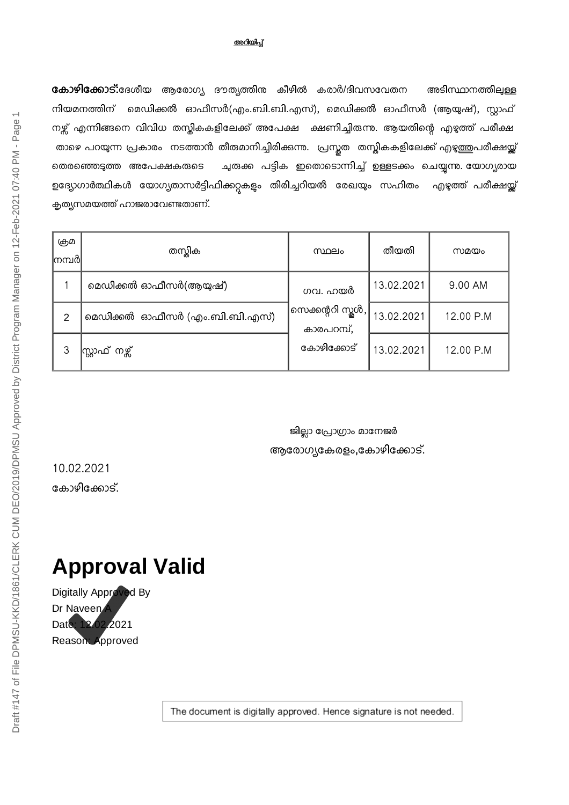#### അറിയിപ്

കോഴിക്കോട്:ദേശീയ ആരോഗ്യ ദൗത്യത്തിന കീഴിൽ കരാർ/ദിവസവേതന അടിസ്ഥാനത്തിലുള്ള നിയമനത്തിന് മെഡിക്കൽ ഓഫീസർ(എം.ബി.ബി.എസ്), മെഡിക്കൽ ഓഫീസർ (ആയുഷ്), സ്റ്റാഫ് നഴ്സ് എന്നിങ്ങനെ വിവിധ തസ്തികകളിലേക്ക് അപേക്ഷ ക്ഷണിച്ചിരുന്നു. ആയതിന്റെ എഴുത്ത് പരീക്ഷ താഴെ പറയുന്ന പ്രകാരം നടത്താൻ തീരുമാനിച്ചിരിക്കുന്നു. പ്രസ്തത തസ്തികകളിലേക്ക് എഴുത്തുപരീക്ഷയ്ക്ക് തെരഞ്ഞെടുത്ത അപേക്ഷകരുടെ ചുരുക്ക പട്ടിക ഇതൊടൊന്നിച്ച് ഉള്ളടക്കം ചെയ്യന്നു. യോഗ്യരായ ഉദ്യോഗാർത്ഥികൾ യോഗ്യതാസർട്ടിഫിക്കറ്റകളും തിരിച്ചറിയൽ രേഖയും സഹിതം എഴുത്ത് പരീക്ഷയ്ക്ക് കൃത്യസമയത്ത് ഹാജരാവേണ്ടതാണ്.

| ஞு<br>∣നമ്പർ∣ | തസ്കിക                        | സ്ഥലം                            | തീയതി      | സമയം      |
|---------------|-------------------------------|----------------------------------|------------|-----------|
|               | മെഡിക്കൽ ഓഫീസർ(ആയുഷ്)         | ഗവ. ഹയർ                          | 13.02.2021 | 9.00 AM   |
| 2             | മെഡിക്കൽ ഓഫീസർ (എം.ബി.ബി.എസ്) | സെക്കന്ററി സ്തൂൾ, <br>കാരപറമ്പ്, | 13.02.2021 | 12.00 P.M |
| 3             | സ്റ്റ്രാഫ് നഴ്സ്              | കോഴിക്കോട്                       | 13.02.2021 | 12.00 P.M |

ജില്ലാ പ്രോഗ്രാം മാനേജർ ആരോഗ്യകേരളം,കോഴിക്കോട്.

10.02.2021 കോഴിക്കോട്.

# **Approval Valid**

Digitally Approved By Dr Naveen Date: 12.02.2021 Reason: Approved

The document is digitally approved. Hence signature is not needed.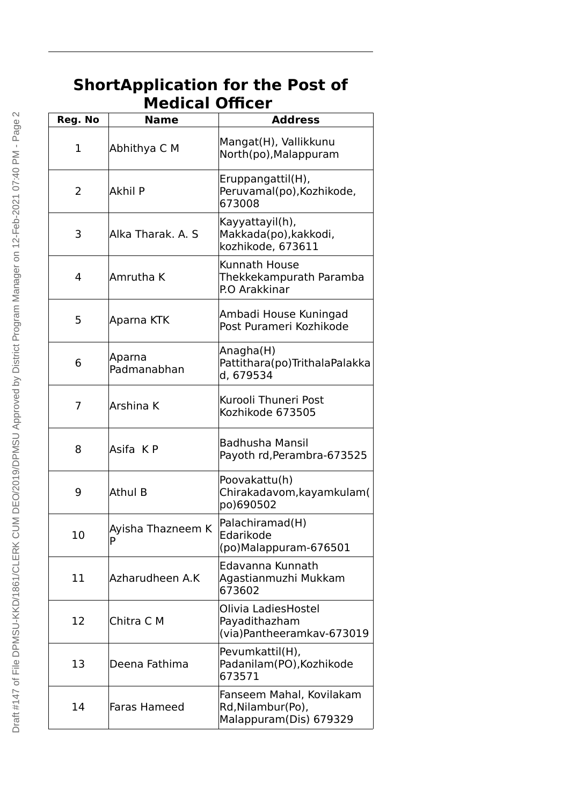| <b>Medical Officer</b> |                        |                                                                          |
|------------------------|------------------------|--------------------------------------------------------------------------|
| Reg. No                | <b>Name</b>            | <b>Address</b>                                                           |
| $\mathbf 1$            | Abhithya C M           | Mangat(H), Vallikkunu<br>North(po), Malappuram                           |
| 2                      | <b>Akhil P</b>         | Eruppangattil(H),<br>Peruvamal(po), Kozhikode,<br>673008                 |
| 3                      | Alka Tharak, A. S.     | Kayyattayil(h),<br>Makkada(po), kakkodi,<br>kozhikode, 673611            |
| 4                      | Amrutha K              | Kunnath House<br>Thekkekampurath Paramba<br>P.O Arakkinar                |
| 5                      | Aparna KTK             | Ambadi House Kuningad<br>Post Purameri Kozhikode                         |
| 6                      | Aparna<br>Padmanabhan  | Anagha(H)<br>Pattithara(po) Trithala Palakka<br>d, 679534                |
| 7                      | Arshina K              | Kurooli Thuneri Post<br>Kozhikode 673505                                 |
| 8                      | Asifa KP               | <b>Badhusha Mansil</b><br>Payoth rd, Perambra-673525                     |
| 9                      | <b>Athul B</b>         | Poovakattu(h)<br>Chirakadavom, kayamkulam (<br>po)690502                 |
| 10                     | Ayisha Thazneem K<br>P | Palachiramad(H)<br>Edarikode<br>(po)Malappuram-676501                    |
| 11                     | Azharudheen A.K        | Edavanna Kunnath<br>Agastianmuzhi Mukkam<br>673602                       |
| 12                     | Chitra C M             | Olivia LadiesHostel<br>Payadithazham<br>(via)Pantheeramkav-673019        |
| 13                     | Deena Fathima          | Pevumkattil(H),<br>Padanilam(PO), Kozhikode<br>673571                    |
| 14                     | Faras Hameed           | Fanseem Mahal, Kovilakam<br>Rd, Nilambur (Po),<br>Malappuram(Dis) 679329 |

### **ShortApplication for the Post of Medical Officer**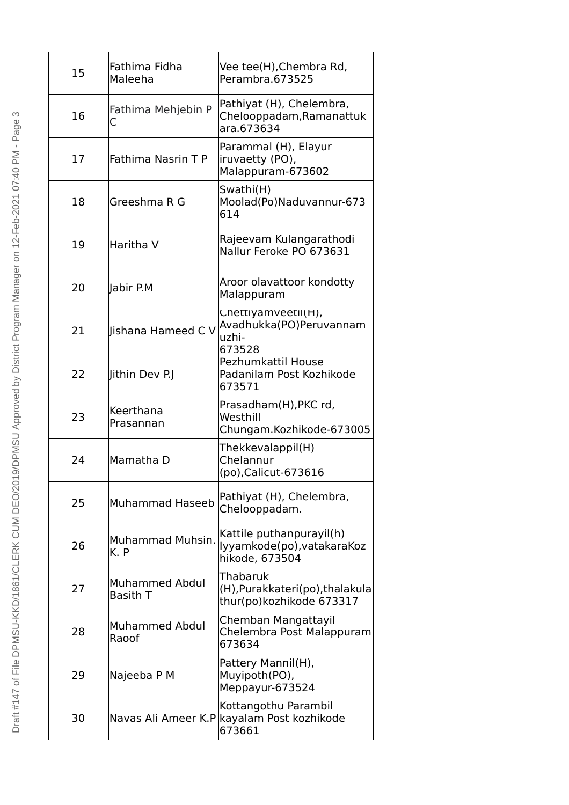| 15 | Fathima Fidha<br>Maleeha                 | Vee tee(H), Chembra Rd,<br>Perambra.673525                               |
|----|------------------------------------------|--------------------------------------------------------------------------|
| 16 | Fathima Mehjebin P<br>C                  | Pathiyat (H), Chelembra,<br>Chelooppadam, Ramanattuk<br>ara.673634       |
| 17 | Fathima Nasrin T P                       | Parammal (H), Elayur<br>iruvaetty (PO),<br>Malappuram-673602             |
| 18 | Greeshma R G                             | Swathi(H)<br>Moolad(Po)Naduvannur-673<br>614                             |
| 19 | Haritha V                                | Rajeevam Kulangarathodi<br>Nallur Feroke PO 673631                       |
| 20 | Jabir P.M                                | Aroor olavattoor kondotty<br>Malappuram                                  |
| 21 | Jishana Hameed C V                       | Chettiyamveetil(H),<br>Avadhukka(PO)Peruvannam<br>uzhi-<br>673528        |
| 22 | Jithin Dev P.J                           | Pezhumkattil House<br>Padanilam Post Kozhikode<br>673571                 |
| 23 | Keerthana<br>Prasannan                   | Prasadham(H), PKC rd,<br>Westhill<br>Chungam.Kozhikode-673005            |
| 24 | Mamatha D                                | Thekkevalappil(H)<br>Chelannur<br>(po), Calicut-673616                   |
|    |                                          |                                                                          |
| 25 | Muhammad Haseeb                          | Pathiyat (H), Chelembra,<br>Chelooppadam.                                |
| 26 | Muhammad Muhsin.<br>K. P                 | Kattile puthanpurayil(h)<br>lyyamkode(po), vatakaraKoz<br>hikode, 673504 |
| 27 | <b>Muhammed Abdul</b><br><b>Basith T</b> | Thabaruk<br>(H), Purakkateri(po), thalakula<br>thur(po)kozhikode 673317  |
| 28 | <b>Muhammed Abdul</b><br>Raoof           | Chemban Mangattayil<br>Chelembra Post Malappuram<br>673634               |
| 29 | Najeeba P M                              | Pattery Mannil(H),<br>Muyipoth(PO),<br>Meppayur-673524                   |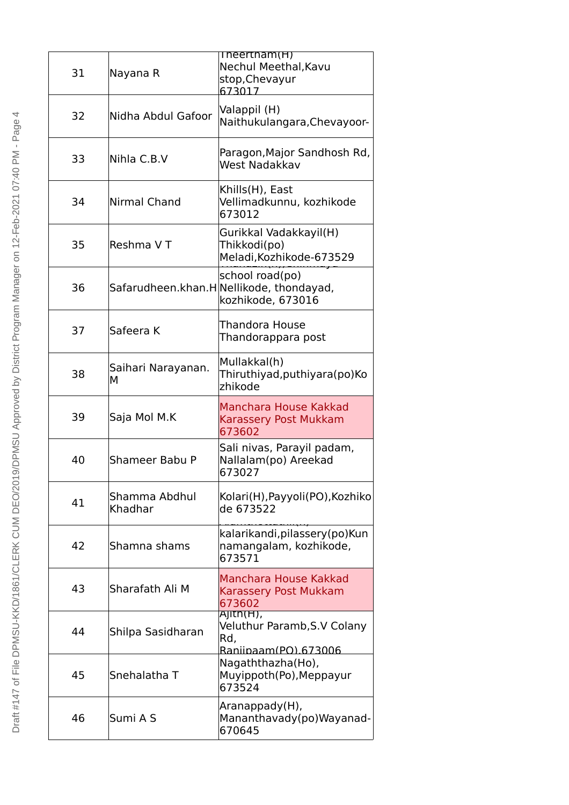| 31 | Nayana R                 | Theertham(H)<br>Nechul Meethal, Kavu<br>stop, Chevayur<br>673017                 |
|----|--------------------------|----------------------------------------------------------------------------------|
| 32 | Nidha Abdul Gafoor       | Valappil (H)<br>Naithukulangara, Chevayoor-                                      |
| 33 | Nihla C.B.V              | Paragon, Major Sandhosh Rd,<br>West Nadakkav                                     |
| 34 | Nirmal Chand             | Khills(H), East<br>Vellimadkunnu, kozhikode<br>673012                            |
| 35 | Reshma V T               | Gurikkal Vadakkayil(H)<br>Thikkodi(po)<br>Meladi, Kozhikode-673529               |
| 36 |                          | school road(po)<br>Safarudheen.khan.H Nellikode, thondayad,<br>kozhikode, 673016 |
| 37 | Safeera K                | Thandora House<br>Thandorappara post                                             |
| 38 | Saihari Narayanan.<br>М  | Mullakkal(h)<br>Thiruthiyad, puthiyara (po) Ko<br>zhikode                        |
| 39 | Saja Mol M.K             | Manchara House Kakkad<br>Karassery Post Mukkam<br>673602                         |
| 40 | Shameer Babu P           | Sali nivas, Parayil padam,<br>Nallalam(po) Areekad<br>673027                     |
| 41 | Shamma Abdhul<br>Khadhar | Kolari(H), Payyoli(PO), Kozhiko<br>de 673522                                     |
| 42 | Shamna shams             | kalarikandi, pilassery (po) Kun<br>namangalam, kozhikode,<br>673571              |
| 43 | Sharafath Ali M          | Manchara House Kakkad<br>Karassery Post Mukkam<br>673602                         |
| 44 | Shilpa Sasidharan        | Ajith(H),<br>Veluthur Paramb, S.V Colany<br>Rd,<br>Raniipaam(PO).673006          |
| 45 | Snehalatha T             | Nagaththazha(Ho),<br>Muyippoth(Po), Meppayur<br>673524                           |
| 46 | Sumi A S                 | Aranappady(H),<br>Mananthavady(po)Wayanad-<br>670645                             |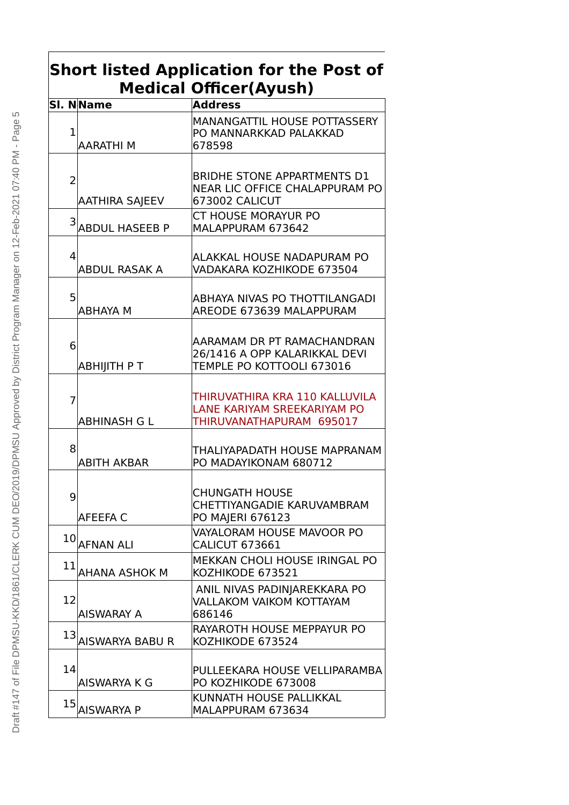### **Short listed Application for the Post of Medical Officer(Ayush)**

|                | SI. NName              | <b>Address</b>                                                                                |
|----------------|------------------------|-----------------------------------------------------------------------------------------------|
| $\mathbf 1$    | <b>AARATHIM</b>        | MANANGATTIL HOUSE POTTASSERY<br>PO MANNARKKAD PALAKKAD<br>678598                              |
| $\overline{2}$ | <b>AATHIRA SAJEEV</b>  | <b>BRIDHE STONE APPARTMENTS D1</b><br><b>NEAR LIC OFFICE CHALAPPURAM PO</b><br>673002 CALICUT |
|                | 3 ABDUL HASEEB P       | <b>CT HOUSE MORAYUR PO</b><br>MALAPPURAM 673642                                               |
| 4              | <b>ABDUL RASAK A</b>   | ALAKKAL HOUSE NADAPURAM PO<br>VADAKARA KOZHIKODE 673504                                       |
| 5              | <b>ABHAYA M</b>        | ABHAYA NIVAS PO THOTTILANGADI<br>AREODE 673639 MALAPPURAM                                     |
| 6              | <b>ABHIJITH PT</b>     | AARAMAM DR PT RAMACHANDRAN<br>26/1416 A OPP KALARIKKAL DEVI<br>TEMPLE PO KOTTOOLI 673016      |
| $\overline{7}$ | ABHINASH G L           | THIRUVATHIRA KRA 110 KALLUVILA<br>LANE KARIYAM SREEKARIYAM PO<br>THIRUVANATHAPURAM 695017     |
| 8              | <b>ABITH AKBAR</b>     | THALIYAPADATH HOUSE MAPRANAM<br>PO MADAYIKONAM 680712                                         |
| 9              | AFEEFA C               | <b>CHUNGATH HOUSE</b><br>CHETTIYANGADIE KARUVAMBRAM<br><b>PO MAIERI 676123</b>                |
|                | $10$ AFNAN ALI         | VAYALORAM HOUSE MAVOOR PO<br><b>CALICUT 673661</b>                                            |
| 11             | AHANA ASHOK M          | MEKKAN CHOLI HOUSE IRINGAL PO<br>KOZHIKODE 673521                                             |
| 12             | <b>AISWARAY A</b>      | ANIL NIVAS PADINJAREKKARA PO<br><b>VALLAKOM VAIKOM KOTTAYAM</b><br>686146                     |
| 13             | <b>AISWARYA BABU R</b> | RAYAROTH HOUSE MEPPAYUR PO<br>KOZHIKODE 673524                                                |
| 14             | AISWARYA K G           | PULLEEKARA HOUSE VELLIPARAMBA<br>PO KOZHIKODE 673008                                          |
| 15             | <b>AISWARYA P</b>      | KUNNATH HOUSE PALLIKKAL<br>MALAPPURAM 673634                                                  |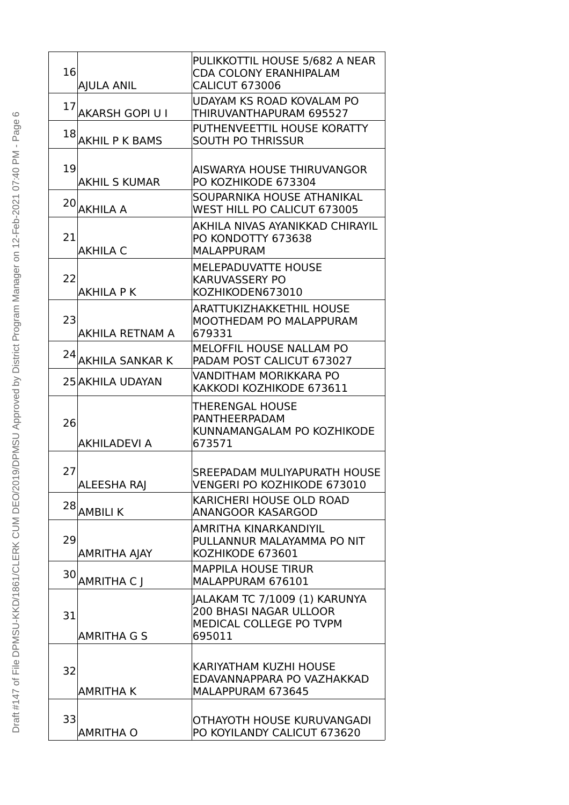| 16 | <b>AJULA ANIL</b>      | PULIKKOTTIL HOUSE 5/682 A NEAR<br><b>CDA COLONY ERANHIPALAM</b><br><b>CALICUT 673006</b>            |
|----|------------------------|-----------------------------------------------------------------------------------------------------|
| 17 | <b>AKARSH GOPI U I</b> | UDAYAM KS ROAD KOVALAM PO<br>THIRUVANTHAPURAM 695527                                                |
|    | 18 AKHIL P K BAMS      | PUTHENVEETTIL HOUSE KORATTY<br><b>SOUTH PO THRISSUR</b>                                             |
| 19 | <b>AKHIL S KUMAR</b>   | AISWARYA HOUSE THIRUVANGOR<br>PO KOZHIKODE 673304                                                   |
|    | $20$ AKHILA A          | SOUPARNIKA HOUSE ATHANIKAL<br>WEST HILL PO CALICUT 673005                                           |
| 21 | <b>AKHILA C</b>        | AKHILA NIVAS AYANIKKAD CHIRAYIL<br>PO KONDOTTY 673638<br><b>MALAPPURAM</b>                          |
| 22 | <b>AKHILA P K</b>      | <b>MELEPADUVATTE HOUSE</b><br><b>KARUVASSERY PO</b><br>KOZHIKODEN673010                             |
| 23 | <b>AKHILA RETNAM A</b> | <b>ARATTUKIZHAKKETHIL HOUSE</b><br>MOOTHEDAM PO MALAPPURAM<br>679331                                |
| 24 | <b>AKHILA SANKAR K</b> | <b>MELOFFIL HOUSE NALLAM PO</b><br>PADAM POST CALICUT 673027                                        |
|    | 25 AKHILA UDAYAN       | VANDITHAM MORIKKARA PO<br>KAKKODI KOZHIKODE 673611                                                  |
| 26 | <b>AKHILADEVI A</b>    | THERENGAL HOUSE<br><b>PANTHEERPADAM</b><br>KUNNAMANGALAM PO KOZHIKODE<br>673571                     |
| 27 | <b>ALEESHA RAJ</b>     | SREEPADAM MULIYAPURATH HOUSE<br><b>VENGERI PO KOZHIKODE 673010</b>                                  |
|    | $28$ AMBILI K          | KARICHERI HOUSE OLD ROAD<br><b>ANANGOOR KASARGOD</b>                                                |
| 29 | <b>AMRITHA AJAY</b>    | AMRITHA KINARKANDIYIL<br>PULLANNUR MALAYAMMA PO NIT<br>KOZHIKODE 673601                             |
|    | 30 AMRITHA CJ          | <b>MAPPILA HOUSE TIRUR</b><br>MALAPPURAM 676101                                                     |
| 31 | <b>AMRITHA G S</b>     | JALAKAM TC 7/1009 (1) KARUNYA<br><b>200 BHASI NAGAR ULLOOR</b><br>MEDICAL COLLEGE PO TVPM<br>695011 |
| 32 |                        | KARIYATHAM KUZHI HOUSE<br>EDAVANNAPPARA PO VAZHAKKAD                                                |
|    | <b>AMRITHA K</b>       | MALAPPURAM 673645                                                                                   |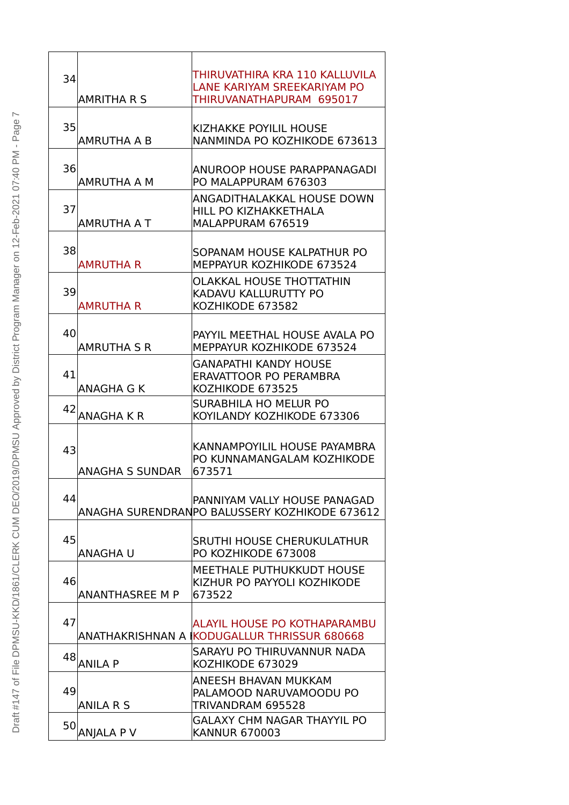| 34 |                        | THIRUVATHIRA KRA 110 KALLUVILA                                    |
|----|------------------------|-------------------------------------------------------------------|
|    | <b>AMRITHA R S</b>     | LANE KARIYAM SREEKARIYAM PO<br>THIRUVANATHAPURAM 695017           |
|    |                        |                                                                   |
| 35 |                        | <b>KIZHAKKE POYILIL HOUSE</b>                                     |
|    | AMRUTHA A B            | NANMINDA PO KOZHIKODE 673613                                      |
|    |                        |                                                                   |
| 36 |                        | ANUROOP HOUSE PARAPPANAGADI                                       |
|    | AMRUTHA A M            | PO MALAPPURAM 676303                                              |
| 37 |                        | ANGADITHALAKKAL HOUSE DOWN                                        |
|    | AMRUTHA A T            | <b>HILL PO KIZHAKKETHALA</b><br>MALAPPURAM 676519                 |
|    |                        |                                                                   |
| 38 |                        | SOPANAM HOUSE KALPATHUR PO                                        |
|    | <b>AMRUTHA R</b>       | MEPPAYUR KOZHIKODE 673524                                         |
|    |                        | <b>OLAKKAL HOUSE THOTTATHIN</b>                                   |
| 39 |                        | KADAVU KALLURUTTY PO                                              |
|    | <b>AMRUTHA R</b>       | KOZHIKODE 673582                                                  |
|    |                        |                                                                   |
| 40 | <b>AMRUTHA S R</b>     | PAYYIL MEETHAL HOUSE AVALA PO<br><b>MEPPAYUR KOZHIKODE 673524</b> |
|    |                        | <b>GANAPATHI KANDY HOUSE</b>                                      |
| 41 |                        | ERAVATTOOR PO PERAMBRA                                            |
|    | ANAGHA G K             | KOZHIKODE 673525                                                  |
| 42 |                        | <b>SURABHILA HO MELUR PO</b>                                      |
|    | <b>ANAGHAKR</b>        | KOYILANDY KOZHIKODE 673306                                        |
|    |                        |                                                                   |
| 43 |                        | KANNAMPOYILIL HOUSE PAYAMBRA<br>PO KUNNAMANGALAM KOZHIKODE        |
|    | <b>ANAGHA S SUNDAR</b> | 673571                                                            |
|    |                        |                                                                   |
| 44 |                        | PANNIYAM VALLY HOUSE PANAGAD                                      |
|    |                        | ANAGHA SURENDRANPO BALUSSERY KOZHIKODE 673612                     |
|    |                        |                                                                   |
| 45 | ANAGHA U               | SRUTHI HOUSE CHERUKULATHUR<br>PO KOZHIKODE 673008                 |
|    |                        | <b>MEETHALE PUTHUKKUDT HOUSE</b>                                  |
| 46 |                        | KIZHUR PO PAYYOLI KOZHIKODE                                       |
|    | <b>ANANTHASREE M P</b> | 673522                                                            |
|    |                        |                                                                   |
| 47 |                        | ALAYIL HOUSE PO KOTHAPARAMBU                                      |
|    |                        | ANATHAKRISHNAN A İKODUGALLUR THRISSUR 680668                      |
| 48 | <b>ANILA P</b>         | SARAYU PO THIRUVANNUR NADA<br>KOZHIKODE 673029                    |
|    |                        | ANEESH BHAVAN MUKKAM                                              |
| 49 |                        | PALAMOOD NARUVAMOODU PO                                           |
|    | <b>ANILA R S</b>       | TRIVANDRAM 695528                                                 |
| 50 |                        | <b>GALAXY CHM NAGAR THAYYIL PO</b>                                |
|    | <b>ANJALA P V</b>      | <b>KANNUR 670003</b>                                              |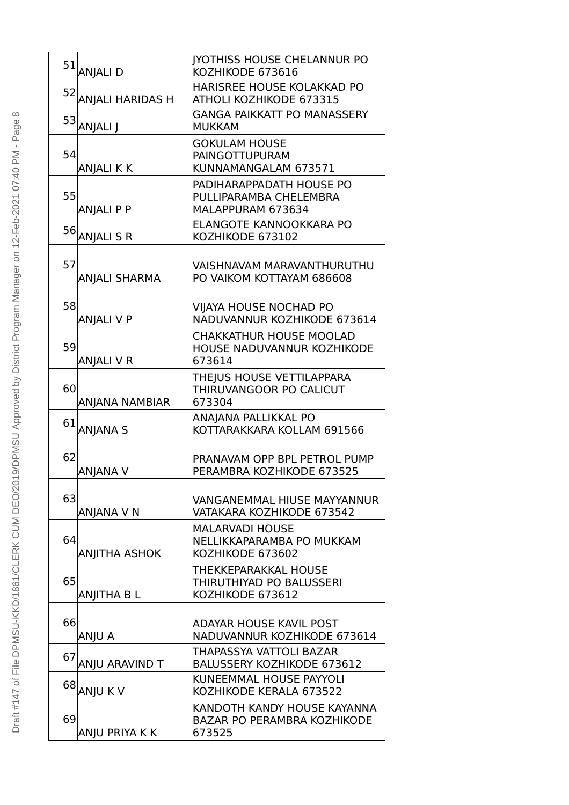|    | $51$ ANJALI D               | IYOTHISS HOUSE CHELANNUR PO<br>KOZHIKODE 673616                             |
|----|-----------------------------|-----------------------------------------------------------------------------|
|    | 52 ANJAL <u>I HARIDAS H</u> | <b>HARISREE HOUSE KOLAKKAD PO</b><br>ATHOLI KOZHIKODE 673315                |
| 53 | ANJALI J                    | <b>GANGA PAIKKATT PO MANASSERY</b><br><b>MUKKAM</b>                         |
| 54 | <b>ANJALI K K</b>           | <b>GOKULAM HOUSE</b><br><b>PAINGOTTUPURAM</b><br>KUNNAMANGALAM 673571       |
| 55 | <b>ANJALI P P</b>           | PADIHARAPPADATH HOUSE PO<br>PULLIPARAMBA CHELEMBRA<br>MALAPPURAM 673634     |
|    | 56 ANJALI S R               | ELANGOTE KANNOOKKARA PO<br>KOZHIKODE 673102                                 |
| 57 | <b>ANJALI SHARMA</b>        | VAISHNAVAM MARAVANTHURUTHU<br>PO VAIKOM KOTTAYAM 686608                     |
| 58 | <b>ANJALI V P</b>           | VIJAYA HOUSE NOCHAD PO<br>NADUVANNUR KOZHIKODE 673614                       |
| 59 | <b>ANJALI V R</b>           | <b>CHAKKATHUR HOUSE MOOLAD</b><br>HOUSE NADUVANNUR KOZHIKODE<br>673614      |
| 60 | <b>ANJANA NAMBIAR</b>       | THEJUS HOUSE VETTILAPPARA<br>THIRUVANGOOR PO CALICUT<br>673304              |
| 61 | <b>ANJANA S</b>             | ANAJANA PALLIKKAL PO<br>KOTTARAKKARA KOLLAM 691566                          |
| 62 | <b>ANJANA V</b>             | PRANAVAM OPP BPL PETROL PUMP<br>PERAMBRA KOZHIKODE 673525                   |
| 63 | ANJANA V N                  | VANGANEMMAL HIUSE MAYYANNUR<br>VATAKARA KOZHIKODE 673542                    |
| 64 | <b>ANJITHA ASHOK</b>        | <b>MALARVADI HOUSE</b><br>NELLIKKAPARAMBA PO MUKKAM<br>KOZHIKODE 673602     |
| 65 | <b>ANJITHA B L</b>          | THEKKEPARAKKAL HOUSE<br>THIRUTHIYAD PO BALUSSERI<br>KOZHIKODE 673612        |
| 66 | ANJU A                      | ADAYAR HOUSE KAVIL POST<br>NADUVANNUR KOZHIKODE 673614                      |
| 67 | ANJU ARAVIND T              | THAPASSYA VATTOLI BAZAR<br><b>BALUSSERY KOZHIKODE 673612</b>                |
|    | 68 ANJU K V                 | KUNEEMMAL HOUSE PAYYOLI<br>KOZHIKODE KERALA 673522                          |
| 69 | ANJU PRIYA K K              | KANDOTH KANDY HOUSE KAYANNA<br><b>BAZAR PO PERAMBRA KOZHIKODE</b><br>673525 |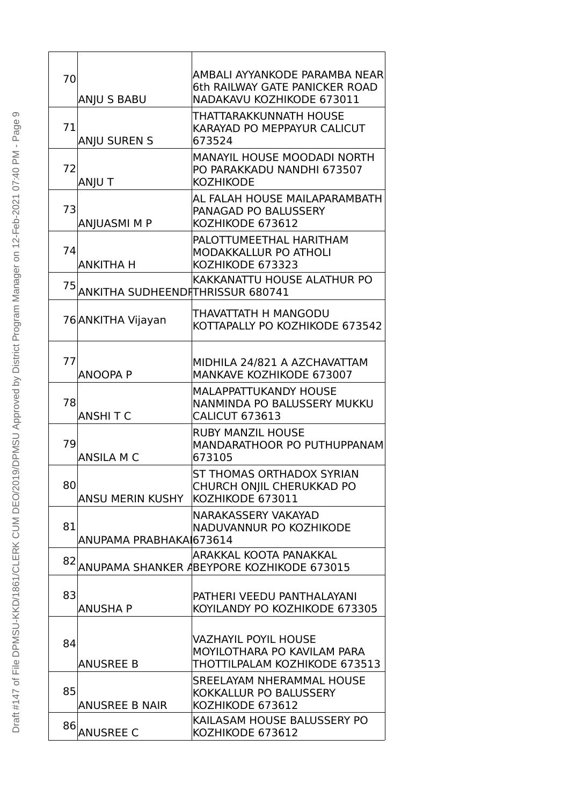| 70 | ANJU S BABU                      | AMBALI AYYANKODE PARAMBA NEAR<br>6th RAILWAY GATE PANICKER ROAD<br>NADAKAVU KOZHIKODE 673011 |
|----|----------------------------------|----------------------------------------------------------------------------------------------|
| 71 | <b>ANJU SUREN S</b>              | THATTARAKKUNNATH HOUSE<br>KARAYAD PO MEPPAYUR CALICUT<br>673524                              |
| 72 | ANJU T                           | <b>MANAYIL HOUSE MOODADI NORTH</b><br>PO PARAKKADU NANDHI 673507<br><b>KOZHIKODE</b>         |
| 73 | ANJUASMI M P                     | AL FALAH HOUSE MAILAPARAMBATH<br>PANAGAD PO BALUSSERY<br>KOZHIKODE 673612                    |
| 74 | <b>ANKITHA H</b>                 | PALOTTUMEETHAL HARITHAM<br>MODAKKALLUR PO ATHOLI<br>KOZHIKODE 673323                         |
| 75 | ANKITHA SUDHEENDITHRISSUR 680741 | KAKKANATTU HOUSE ALATHUR PO                                                                  |
|    | 76 ANKITHA Vijayan               | THAVATTATH H MANGODU<br>KOTTAPALLY PO KOZHIKODE 673542                                       |
| 77 | <b>ANOOPA P</b>                  | MIDHILA 24/821 A AZCHAVATTAM<br>MANKAVE KOZHIKODE 673007                                     |
| 78 | <b>ANSHITC</b>                   | <b>MALAPPATTUKANDY HOUSE</b><br>NANMINDA PO BALUSSERY MUKKU<br><b>CALICUT 673613</b>         |
| 79 | <b>ANSILA M C</b>                | <b>RUBY MANZIL HOUSE</b><br>MANDARATHOOR PO PUTHUPPANAM<br>673105                            |
| 80 | <b>ANSU MERIN KUSHY</b>          | ST THOMAS ORTHADOX SYRIAN<br>CHURCH ONJIL CHERUKKAD PO<br>KOZHIKODE 673011                   |
| 81 | ANUPAMA PRABHAKAI673614          | <b>NARAKASSERY VAKAYAD</b><br>NADUVANNUR PO KOZHIKODE                                        |
| 82 |                                  | ARAKKAL KOOTA PANAKKAL<br>ANUPAMA SHANKER ABEYPORE KOZHIKODE 673015                          |
| 83 | <b>ANUSHA P</b>                  | PATHERI VEEDU PANTHALAYANI<br>KOYILANDY PO KOZHIKODE 673305                                  |
| 84 | <b>ANUSREE B</b>                 | VAZHAYIL POYIL HOUSE<br>MOYILOTHARA PO KAVILAM PARA<br>THOTTILPALAM KOZHIKODE 673513         |
| 85 | <b>ANUSREE B NAIR</b>            | SREELAYAM NHERAMMAL HOUSE<br>KOKKALLUR PO BALUSSERY<br>KOZHIKODE 673612                      |
| 86 | <b>ANUSREE C</b>                 | KAILASAM HOUSE BALUSSERY PO<br>KOZHIKODE 673612                                              |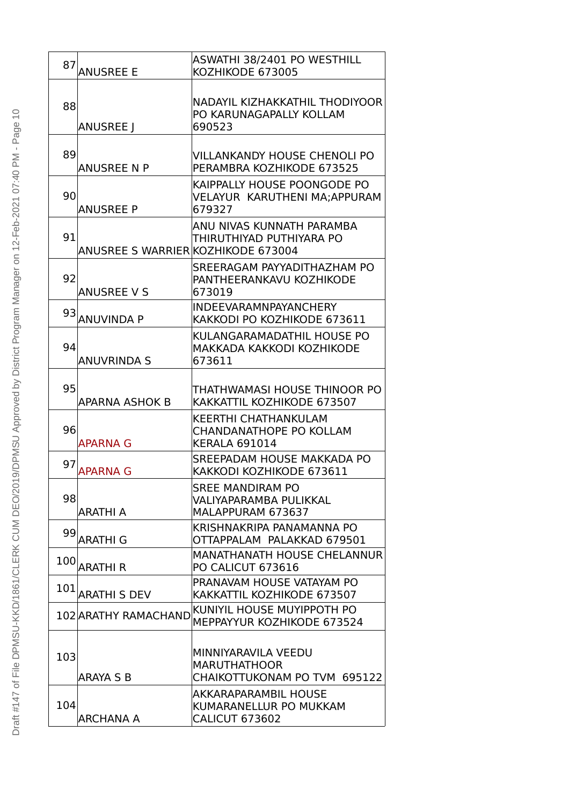| 87  | <b>ANUSREE E</b>                   | ASWATHI 38/2401 PO WESTHILL<br>KOZHIKODE 673005                                       |
|-----|------------------------------------|---------------------------------------------------------------------------------------|
| 88  | <b>ANUSREE</b> J                   | NADAYIL KIZHAKKATHIL THODIYOOR<br>PO KARUNAGAPALLY KOLLAM<br>690523                   |
| 89  | ANUSREE N P                        | VILLANKANDY HOUSE CHENOLI PO<br>PERAMBRA KOZHIKODE 673525                             |
| 90  | <b>ANUSREE P</b>                   | KAIPPALLY HOUSE POONGODE PO<br>VELAYUR KARUTHENI MA;APPURAM<br>679327                 |
| 91  | ANUSREE S WARRIER KOZHIKODE 673004 | ANU NIVAS KUNNATH PARAMBA<br>THIRUTHIYAD PUTHIYARA PO                                 |
| 92  | <b>ANUSREE V S</b>                 | SREERAGAM PAYYADITHAZHAM PO<br>PANTHEERANKAVU KOZHIKODE<br>673019                     |
| 93  | <b>ANUVINDA P</b>                  | <b>INDEEVARAMNPAYANCHERY</b><br>KAKKODI PO KOZHIKODE 673611                           |
| 94  | <b>ANUVRINDA S</b>                 | KULANGARAMADATHIL HOUSE PO<br>MAKKADA KAKKODI KOZHIKODE<br>673611                     |
| 95  | APARNA ASHOK B                     | THATHWAMASI HOUSE THINOOR PO<br>KAKKATTIL KOZHIKODE 673507                            |
| 96  | <b>APARNA G</b>                    | <b>KEERTHI CHATHANKULAM</b><br><b>CHANDANATHOPE PO KOLLAM</b><br><b>KERALA 691014</b> |
| 97  | APARNA G                           | SREEPADAM HOUSE MAKKADA PO<br>KAKKODI KOZHIKODE 673611                                |
| 98  | <b>ARATHI A</b>                    | <b>SREE MANDIRAM PO</b><br>VALIYAPARAMBA PULIKKAL<br>MALAPPURAM 673637                |
|     | 99 ARATHI G                        | KRISHNAKRIPA PANAMANNA PO<br>OTTAPPALAM PALAKKAD 679501                               |
| 100 | <b>ARATHIR</b>                     | <b>MANATHANATH HOUSE CHELANNUR</b><br>PO CALICUT 673616                               |
| 101 | <b>ARATHI S DEV</b>                | PRANAVAM HOUSE VATAYAM PO<br>KAKKATTIL KOZHIKODE 673507                               |
|     | 102 ARATHY RAMACHAND               | KUNIYIL HOUSE MUYIPPOTH PO<br>MEPPAYYUR KOZHIKODE 673524                              |
| 103 | <b>ARAYA S B</b>                   | MINNIYARAVILA VEEDU<br><b>MARUTHATHOOR</b><br>CHAIKOTTUKONAM PO TVM 695122            |
| 104 | <b>ARCHANA A</b>                   | AKKARAPARAMBIL HOUSE<br>KUMARANELLUR PO MUKKAM<br><b>CALICUT 673602</b>               |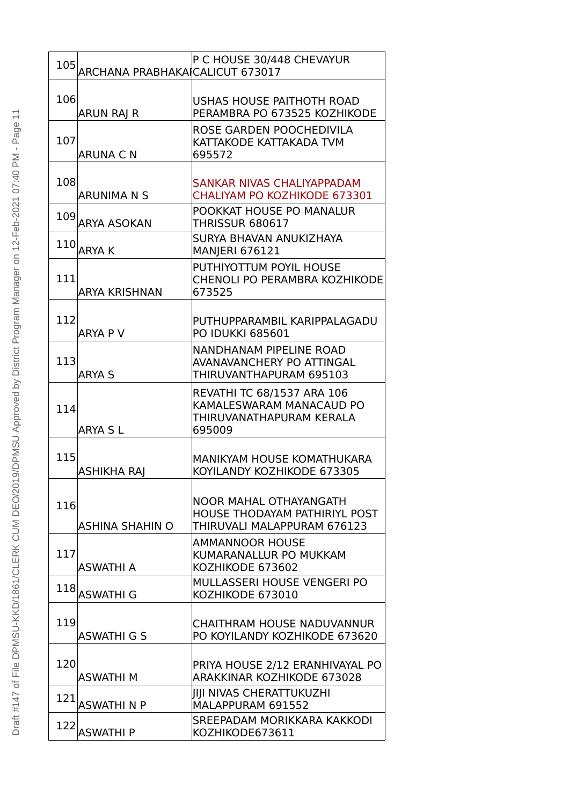| 105 ARCHANA PRABHAKA CALICUT 673017 | P C HOUSE 30/448 CHEVAYUR                                                                            |
|-------------------------------------|------------------------------------------------------------------------------------------------------|
| 106<br><b>ARUN RAI R</b>            | <b>USHAS HOUSE PAITHOTH ROAD</b><br>PERAMBRA PO 673525 KOZHIKODE                                     |
| 107<br>ARUNA C N                    | ROSE GARDEN POOCHEDIVILA<br>KATTAKODE KATTAKADA TVM<br>695572                                        |
| 108<br>ARUNIMA N S                  | SANKAR NIVAS CHALIYAPPADAM<br>CHALIYAM PO KOZHIKODE 673301                                           |
| 109 ARYA ASOKAN                     | POOKKAT HOUSE PO MANALUR<br>THRISSUR 680617                                                          |
| $110$ ARYA K                        | SURYA BHAVAN ANUKIZHAYA<br><b>MANJERI 676121</b>                                                     |
| 111<br>ARYA KRISHNAN                | PUTHIYOTTUM POYIL HOUSE<br><b>CHENOLI PO PERAMBRA KOZHIKODE</b><br>673525                            |
| 112<br><b>ARYA P V</b>              | PUTHUPPARAMBIL KARIPPALAGADU<br><b>PO IDUKKI 685601</b>                                              |
| 113<br><b>ARYA S</b>                | <b>NANDHANAM PIPELINE ROAD</b><br>AVANAVANCHERY PO ATTINGAL<br>THIRUVANTHAPURAM 695103               |
| 114<br><b>ARYA SL</b>               | <b>REVATHI TC 68/1537 ARA 106</b><br>KAMALESWARAM MANACAUD PO<br>THIRUVANATHAPURAM KERALA<br>695009  |
| 115<br>ASHIKHA RAI                  | MANIKYAM HOUSE KOMATHUKARA<br>KOYILANDY KOZHIKODE 673305                                             |
| 116<br><b>ASHINA SHAHIN O</b>       | <b>NOOR MAHAL OTHAYANGATH</b><br><b>HOUSE THODAYAM PATHIRIYL POST</b><br>THIRUVALI MALAPPURAM 676123 |
| 117<br>ASWATHI A                    | <b>AMMANNOOR HOUSE</b><br>KUMARANALLUR PO MUKKAM<br>KOZHIKODE 673602                                 |
| $118$ ASWATHI G                     | MULLASSERI HOUSE VENGERI PO<br>KOZHIKODE 673010                                                      |
| 119<br>ASWATHI G S                  | <b>CHAITHRAM HOUSE NADUVANNUR</b><br>PO KOYILANDY KOZHIKODE 673620                                   |
| 120<br>ASWATHI M                    | PRIYA HOUSE 2/12 ERANHIVAYAL PO<br><b>ARAKKINAR KOZHIKODE 673028</b>                                 |
| 121<br><b>ASWATHINP</b>             | IIII NIVAS CHERATTUKUZHI<br>MALAPPURAM 691552                                                        |
| 122 ASWATHI P                       | SREEPADAM MORIKKARA KAKKODI<br>KOZHIKODE673611                                                       |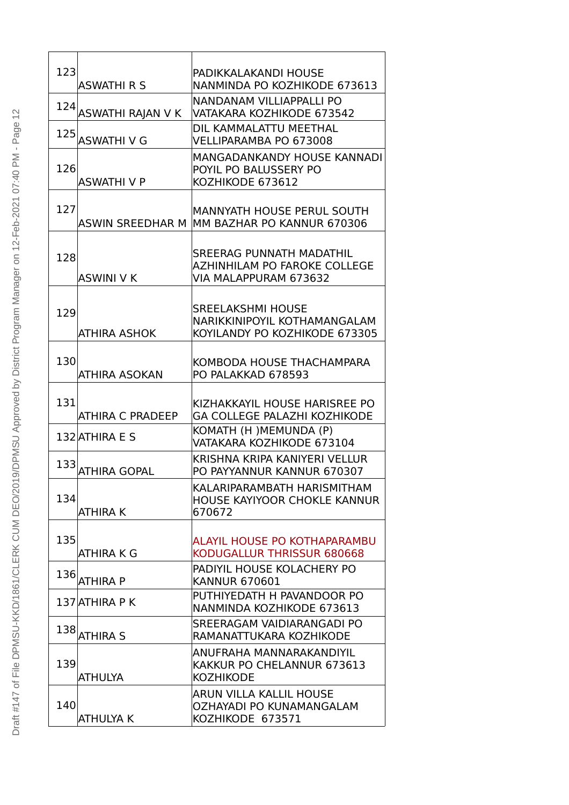| 123 |                                             | PADIKKALAKANDI HOUSE                                                                      |
|-----|---------------------------------------------|-------------------------------------------------------------------------------------------|
|     | <b>ASWATHI R S</b><br>124 ASWATHI RAJAN V K | NANMINDA PO KOZHIKODE 673613<br>NANDANAM VILLIAPPALLI PO<br>VATAKARA KOZHIKODE 673542     |
|     |                                             | DIL KAMMALATTU MEETHAL                                                                    |
|     | 125 ASWATHI V G                             | VELLIPARAMBA PO 673008                                                                    |
| 126 | <b>ASWATHIVP</b>                            | <b>MANGADANKANDY HOUSE KANNADI</b><br>POYIL PO BALUSSERY PO<br>KOZHIKODE 673612           |
| 127 | <b>ASWIN SREEDHAR M</b>                     | MANNYATH HOUSE PERUL SOUTH<br>MM BAZHAR PO KANNUR 670306                                  |
| 128 | <b>ASWINI V K</b>                           | <b>SREERAG PUNNATH MADATHIL</b><br>AZHINHILAM PO FAROKE COLLEGE<br>VIA MALAPPURAM 673632  |
| 129 | ATHIRA ASHOK                                | <b>SREELAKSHMI HOUSE</b><br>NARIKKINIPOYIL KOTHAMANGALAM<br>KOYILANDY PO KOZHIKODE 673305 |
| 130 | <b>ATHIRA ASOKAN</b>                        | KOMBODA HOUSE THACHAMPARA<br>PO PALAKKAD 678593                                           |
| 131 | <b>ATHIRA C PRADEEP</b>                     | KIZHAKKAYIL HOUSE HARISREE PO<br><b>GA COLLEGE PALAZHI KOZHIKODE</b>                      |
|     | 132 ATHIRA E S                              | KOMATH (H) MEMUNDA (P)<br>VATAKARA KOZHIKODE 673104                                       |
| 133 | <b>ATHIRA GOPAL</b>                         | KRISHNA KRIPA KANIYERI VELLUR<br>PO PAYYANNUR KANNUR 670307                               |
| 134 | <b>ATHIRA K</b>                             | KALARIPARAMBATH HARISMITHAM<br>HOUSE KAYIYOOR CHOKLE KANNUR<br>670672                     |
| 135 | <b>ATHIRA K G</b>                           | ALAYIL HOUSE PO KOTHAPARAMBU<br>KODUGALLUR THRISSUR 680668                                |
|     | $136$ ATHIRA P                              | PADIYIL HOUSE KOLACHERY PO<br><b>KANNUR 670601</b>                                        |
|     | 137 ATHIRA P K                              | PUTHIYEDATH H PAVANDOOR PO<br>NANMINDA KOZHIKODE 673613                                   |
| 138 | <b>ATHIRA S</b>                             | SREERAGAM VAIDIARANGADI PO<br>RAMANATTUKARA KOZHIKODE                                     |
| 139 | ATHULYA                                     | ANUFRAHA MANNARAKANDIYIL<br>KAKKUR PO CHELANNUR 673613<br><b>KOZHIKODE</b>                |
| 140 | ATHULYA K                                   | ARUN VILLA KALLIL HOUSE<br>OZHAYADI PO KUNAMANGALAM<br>KOZHIKODE 673571                   |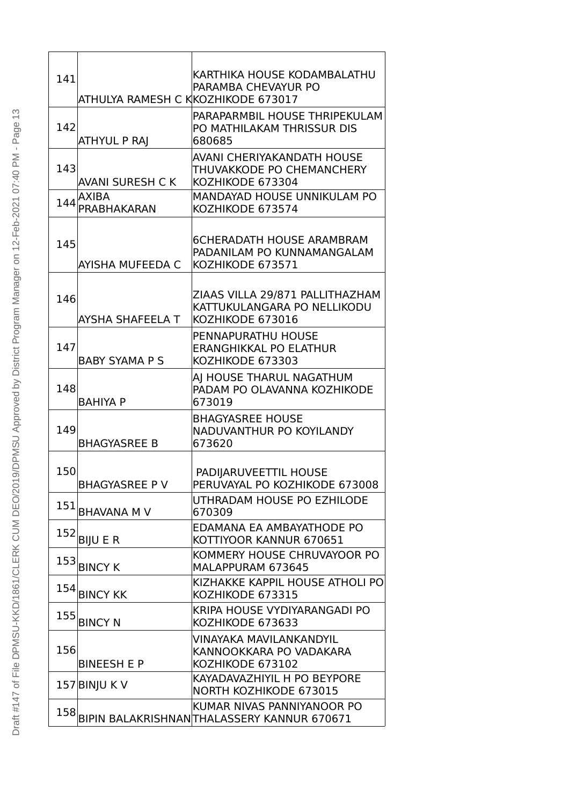| 141 | ATHULYA RAMESH C KKOZHIKODE 673017 | KARTHIKA HOUSE KODAMBALATHU<br>PARAMBA CHEVAYUR PO                                 |
|-----|------------------------------------|------------------------------------------------------------------------------------|
| 142 | <b>ATHYUL P RAJ</b>                | PARAPARMBIL HOUSE THRIPEKULAM<br>PO MATHILAKAM THRISSUR DIS<br>680685              |
| 143 | <b>AVANI SURESH CK</b>             | AVANI CHERIYAKANDATH HOUSE<br>THUVAKKODE PO CHEMANCHERY<br>KOZHIKODE 673304        |
| 144 | AXIBA<br><b>PRABHAKARAN</b>        | MANDAYAD HOUSE UNNIKULAM PO<br>KOZHIKODE 673574                                    |
| 145 | AYISHA MUFEEDA C                   | <b>6CHERADATH HOUSE ARAMBRAM</b><br>PADANILAM PO KUNNAMANGALAM<br>KOZHIKODE 673571 |
| 146 | AYSHA SHAFEELA T                   | ZIAAS VILLA 29/871 PALLITHAZHAM<br>KATTUKULANGARA PO NELLIKODU<br>KOZHIKODE 673016 |
| 147 | <b>BABY SYAMA P S</b>              | <b>PENNAPURATHU HOUSE</b><br>ERANGHIKKAL PO ELATHUR<br>KOZHIKODE 673303            |
| 148 | <b>BAHIYA P</b>                    | AJ HOUSE THARUL NAGATHUM<br>PADAM PO OLAVANNA KOZHIKODE<br>673019                  |
| 149 | <b>BHAGYASREE B</b>                | <b>BHAGYASREE HOUSE</b><br>NADUVANTHUR PO KOYILANDY<br>673620                      |
| 150 | <b>BHAGYASREE PV</b>               | PADIJARUVEETTIL HOUSE<br>PERUVAYAL PO KOZHIKODE 673008                             |
| 151 | <b>BHAVANA M V</b>                 | UTHRADAM HOUSE PO EZHILODE<br>670309                                               |
|     | $152$ BIJU E R                     | EDAMANA EA AMBAYATHODE PO<br>KOTTIYOOR KANNUR 670651                               |
| 153 | <b>BINCY K</b>                     | KOMMERY HOUSE CHRUVAYOOR PO<br>MALAPPURAM 673645                                   |
|     | 154 BINCY KK                       | KIZHAKKE KAPPIL HOUSE ATHOLI PO<br>KOZHIKODE 673315                                |
| 155 | <b>BINCY N</b>                     | KRIPA HOUSE VYDIYARANGADI PO<br>KOZHIKODE 673633                                   |
| 156 | <b>BINEESH E P</b>                 | VINAYAKA MAVILANKANDYIL<br>KANNOOKKARA PO VADAKARA<br>KOZHIKODE 673102             |
|     | 157 BINJU K V                      | KAYADAVAZHIYIL H PO BEYPORE<br>NORTH KOZHIKODE 673015                              |
| 158 |                                    | KUMAR NIVAS PANNIYANOOR PO<br>BIPIN BALAKRISHNANTHALASSERY KANNUR 670671           |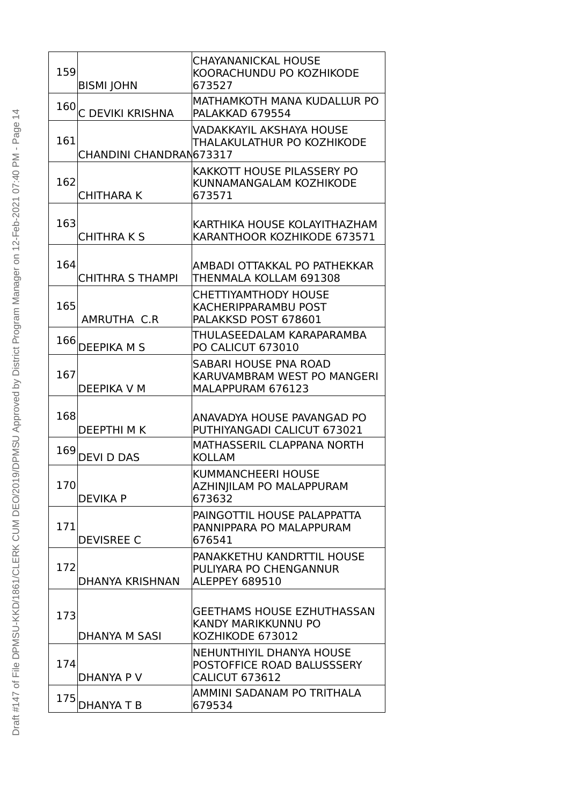| 159 | <b>BISMI JOHN</b>       | <b>CHAYANANICKAL HOUSE</b><br>KOORACHUNDU PO KOZHIKODE<br>673527                       |
|-----|-------------------------|----------------------------------------------------------------------------------------|
| 160 | C DEVIKI KRISHNA        | <b>MATHAMKOTH MANA KUDALLUR PO</b><br>PALAKKAD 679554                                  |
| 161 | CHANDINI CHANDRAN673317 | VADAKKAYIL AKSHAYA HOUSE<br>THALAKULATHUR PO KOZHIKODE                                 |
| 162 | <b>CHITHARA K</b>       | <b>KAKKOTT HOUSE PILASSERY PO</b><br>KUNNAMANGALAM KOZHIKODE<br>673571                 |
| 163 | <b>CHITHRAKS</b>        | KARTHIKA HOUSE KOLAYITHAZHAM<br>KARANTHOOR KOZHIKODE 673571                            |
| 164 | <b>CHITHRA S THAMPI</b> | AMBADI OTTAKKAL PO PATHEKKAR<br>THENMALA KOLLAM 691308                                 |
| 165 | AMRUTHA C.R             | <b>CHETTIYAMTHODY HOUSE</b><br>KACHERIPPARAMBU POST<br>PALAKKSD POST 678601            |
| 166 | <b>DEEPIKA M S</b>      | THULASEEDALAM KARAPARAMBA<br>PO CALICUT 673010                                         |
| 167 | DEEPIKA V M             | SABARI HOUSE PNA ROAD<br>KARUVAMBRAM WEST PO MANGERI<br>MALAPPURAM 676123              |
| 168 | <b>DEEPTHIMK</b>        | ANAVADYA HOUSE PAVANGAD PO<br>PUTHIYANGADI CALICUT 673021                              |
| 169 | <b>DEVI D DAS</b>       | MATHASSERIL CLAPPANA NORTH<br><b>KOLLAM</b>                                            |
| 170 | <b>DEVIKA P</b>         | <b>KUMMANCHEERI HOUSE</b><br>AZHINJILAM PO MALAPPURAM<br>673632                        |
| 171 | <b>DEVISREE C</b>       | PAINGOTTIL HOUSE PALAPPATTA<br>PANNIPPARA PO MALAPPURAM<br>676541                      |
| 172 | <b>DHANYA KRISHNAN</b>  | PANAKKETHU KANDRTTIL HOUSE<br>PULIYARA PO CHENGANNUR<br>ALEPPEY 689510                 |
| 173 | DHANYA M SASI           | <b>GEETHAMS HOUSE EZHUTHASSAN</b><br><b>KANDY MARIKKUNNU PO</b><br>KOZHIKODE 673012    |
| 174 | DHANYA P V              | <b>NEHUNTHIYIL DHANYA HOUSE</b><br>POSTOFFICE ROAD BALUSSSERY<br><b>CALICUT 673612</b> |
| 175 | <b>DHANYA T B</b>       | AMMINI SADANAM PO TRITHALA<br>679534                                                   |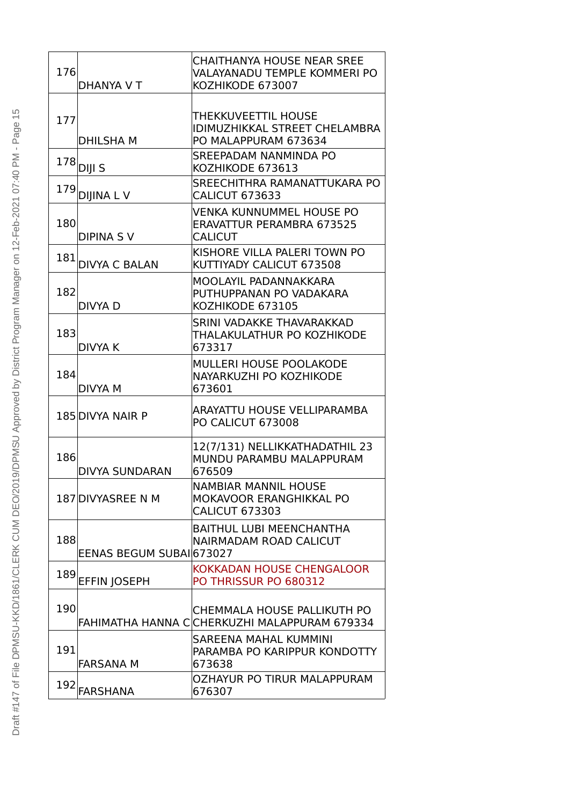| 176 | DHANYA V T               | <b>CHAITHANYA HOUSE NEAR SREE</b><br>VALAYANADU TEMPLE KOMMERI PO<br>KOZHIKODE 673007  |
|-----|--------------------------|----------------------------------------------------------------------------------------|
| 177 | <b>DHILSHAM</b>          | THEKKUVEETTIL HOUSE<br><b>IDIMUZHIKKAL STREET CHELAMBRA</b><br>PO MALAPPURAM 673634    |
| 178 | DIJI S                   | <b>SREEPADAM NANMINDA PO</b><br>KOZHIKODE 673613                                       |
|     | 179 DIJINA LV            | SREECHITHRA RAMANATTUKARA PO<br><b>CALICUT 673633</b>                                  |
| 180 | <b>DIPINA SV</b>         | VENKA KUNNUMMEL HOUSE PO<br><b>ERAVATTUR PERAMBRA 673525</b><br><b>CALICUT</b>         |
| 181 | <b>DIVYA C BALAN</b>     | KISHORE VILLA PALERI TOWN PO<br>KUTTIYADY CALICUT 673508                               |
| 182 | DIVYA D                  | MOOLAYIL PADANNAKKARA<br>PUTHUPPANAN PO VADAKARA<br>KOZHIKODE 673105                   |
| 183 | <b>DIVYA K</b>           | SRINI VADAKKE THAVARAKKAD<br>THALAKULATHUR PO KOZHIKODE<br>673317                      |
| 184 | <b>DIVYA M</b>           | <b>MULLERI HOUSE POOLAKODE</b><br>NAYARKUZHI PO KOZHIKODE<br>673601                    |
|     | 185 DIVYA NAIR P         | ARAYATTU HOUSE VELLIPARAMBA<br>PO CALICUT 673008                                       |
| 186 | <b>DIVYA SUNDARAN</b>    | 12(7/131) NELLIKKATHADATHIL 23<br>MUNDU PARAMBU MALAPPURAM<br>676509                   |
|     | 187 DIVYASREE N M        | <b>NAMBIAR MANNIL HOUSE</b><br><b>MOKAVOOR ERANGHIKKAL PO</b><br><b>CALICUT 673303</b> |
| 188 | EENAS BEGUM SUBAI 673027 | <b>BAITHUL LUBI MEENCHANTHA</b><br>NAIRMADAM ROAD CALICUT                              |
| 189 | <b>EFFIN JOSEPH</b>      | KOKKADAN HOUSE CHENGALOOR<br><b>PO THRISSUR PO 680312</b>                              |
| 190 |                          | CHEMMALA HOUSE PALLIKUTH PO<br>FAHIMATHA HANNA C CHERKUZHI MALAPPURAM 679334           |
| 191 | <b>FARSANA M</b>         | SAREENA MAHAL KUMMINI<br>PARAMBA PO KARIPPUR KONDOTTY<br>673638                        |
| 192 | <b>FARSHANA</b>          | OZHAYUR PO TIRUR MALAPPURAM<br>676307                                                  |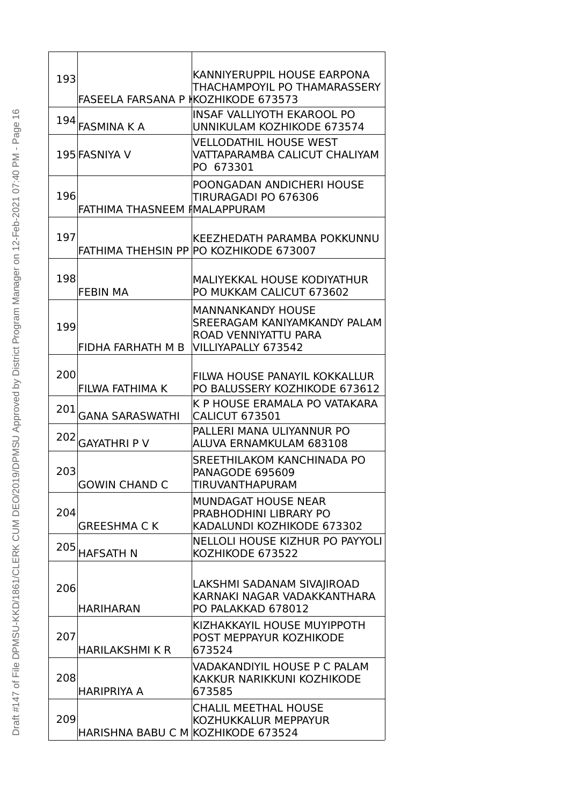| 193 | <b>FASEELA FARSANA P KOZHIKODE 673573</b> | KANNIYERUPPIL HOUSE EARPONA<br>THACHAMPOYIL PO THAMARASSERY                                             |
|-----|-------------------------------------------|---------------------------------------------------------------------------------------------------------|
| 194 | <b>FASMINA K A</b>                        | IINSAF VALLIYOTH EKAROOL PO<br>UNNIKULAM KOZHIKODE 673574                                               |
|     | 195 FASNIYA V                             | <b>VELLODATHIL HOUSE WEST</b><br>VATTAPARAMBA CALICUT CHALIYAM<br>PO 673301                             |
| 196 | FATHIMA THASNEEM IMALAPPURAM              | POONGADAN ANDICHERI HOUSE<br>TIRURAGADI PO 676306                                                       |
| 197 |                                           | KEEZHEDATH PARAMBA POKKUNNU<br><b>FATHIMA THEHSIN PP PO KOZHIKODE 673007</b>                            |
| 198 | <b>FEBIN MA</b>                           | MALIYEKKAL HOUSE KODIYATHUR<br>PO MUKKAM CALICUT 673602                                                 |
| 199 | FIDHA FARHATH M B                         | <b>MANNANKANDY HOUSE</b><br>SREERAGAM KANIYAMKANDY PALAM<br>ROAD VENNIYATTU PARA<br>VILLIYAPALLY 673542 |
| 200 | FILWA FATHIMA K                           | FILWA HOUSE PANAYIL KOKKALLUR<br>PO BALUSSERY KOZHIKODE 673612                                          |
| 201 | <b>GANA SARASWATHI</b>                    | K P HOUSE ERAMALA PO VATAKARA<br>CALICUT 673501                                                         |
| 202 | <b>GAYATHRI P V</b>                       | PALLERI MANA ULIYANNUR PO<br>ALUVA ERNAMKULAM 683108                                                    |
| 203 | <b>GOWIN CHAND C</b>                      | SREETHILAKOM KANCHINADA PO<br><b>PANAGODE 695609</b><br>TIRUVANTHAPURAM                                 |
| 204 | <b>GREESHMA C K</b>                       | <b>MUNDAGAT HOUSE NEAR</b><br>PRABHODHINI LIBRARY PO<br>KADALUNDI KOZHIKODE 673302                      |
| 205 | <b>HAFSATH N</b>                          | NELLOLI HOUSE KIZHUR PO PAYYOLI<br>KOZHIKODE 673522                                                     |
| 206 | <b>HARIHARAN</b>                          | LAKSHMI SADANAM SIVAJIROAD<br>KARNAKI NAGAR VADAKKANTHARA<br>PO PALAKKAD 678012                         |
| 207 | <b>HARILAKSHMI K R</b>                    | KIZHAKKAYIL HOUSE MUYIPPOTH<br>POST MEPPAYUR KOZHIKODE<br>673524                                        |
| 208 | <b>HARIPRIYA A</b>                        | VADAKANDIYIL HOUSE P C PALAM<br>KAKKUR NARIKKUNI KOZHIKODE<br>673585                                    |
| 209 | HARISHNA BABU C M KOZHIKODE 673524        | <b>CHALIL MEETHAL HOUSE</b><br>KOZHUKKALUR MEPPAYUR                                                     |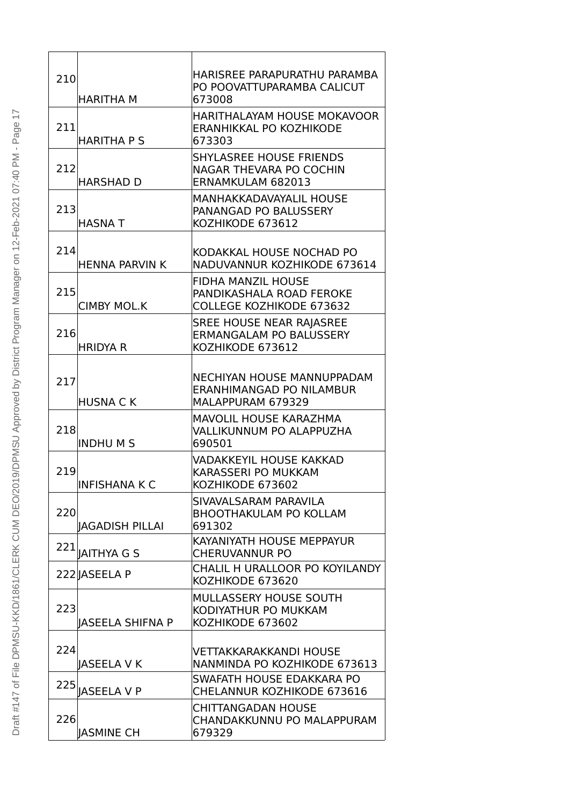| 210<br><b>HARITHA M</b>        | HARISREE PARAPURATHU PARAMBA<br>PO POOVATTUPARAMBA CALICUT<br>673008                     |
|--------------------------------|------------------------------------------------------------------------------------------|
| 211<br><b>HARITHA P S</b>      | <b>HARITHALAYAM HOUSE MOKAVOOR</b><br><b>ERANHIKKAL PO KOZHIKODE</b><br>673303           |
| 212<br><b>HARSHAD D</b>        | <b>SHYLASREE HOUSE FRIENDS</b><br><b>NAGAR THEVARA PO COCHIN</b><br>ERNAMKULAM 682013    |
| 213<br><b>HASNAT</b>           | <b>MANHAKKADAVAYALIL HOUSE</b><br>PANANGAD PO BALUSSERY<br>KOZHIKODE 673612              |
| 214<br><b>HENNA PARVIN K</b>   | KODAKKAL HOUSE NOCHAD PO<br>NADUVANNUR KOZHIKODE 673614                                  |
| 215<br><b>CIMBY MOL.K</b>      | <b>FIDHA MANZIL HOUSE</b><br>PANDIKASHALA ROAD FEROKE<br><b>COLLEGE KOZHIKODE 673632</b> |
| 216<br><b>HRIDYA R</b>         | <b>SREE HOUSE NEAR RAJASREE</b><br><b>ERMANGALAM PO BALUSSERY</b><br>KOZHIKODE 673612    |
| 217<br><b>HUSNACK</b>          | NECHIYAN HOUSE MANNUPPADAM<br>ERANHIMANGAD PO NILAMBUR<br>MALAPPURAM 679329              |
| 218<br><b>INDHUMS</b>          | <b>MAVOLIL HOUSE KARAZHMA</b><br><b>VALLIKUNNUM PO ALAPPUZHA</b><br>690501               |
| 219<br><b>INFISHANA K C</b>    | VADAKKEYIL HOUSE KAKKAD<br><b>KARASSERI PO MUKKAM</b><br>KOZHIKODE 673602                |
| 220<br><b>IAGADISH PILLAI</b>  | SIVAVALSARAM PARAVILA<br><b>BHOOTHAKULAM PO KOLLAM</b><br>691302                         |
| 221<br><b>JAITHYA G S</b>      | KAYANIYATH HOUSE MEPPAYUR<br><b>CHERUVANNUR PO</b>                                       |
| 222 ASEELA P                   | CHALIL H URALLOOR PO KOYILANDY<br>KOZHIKODE 673620                                       |
| 223<br><b>IASEELA SHIFNA P</b> | MULLASSERY HOUSE SOUTH<br>KODIYATHUR PO MUKKAM<br>KOZHIKODE 673602                       |
| 224<br><b>JASEELA V K</b>      | VETTAKKARAKKANDI HOUSE<br>NANMINDA PO KOZHIKODE 673613                                   |
| 225<br><b>IASEELA V P</b>      | SWAFATH HOUSE EDAKKARA PO<br>CHELANNUR KOZHIKODE 673616                                  |
| 226<br><b>JASMINE CH</b>       | <b>CHITTANGADAN HOUSE</b><br>CHANDAKKUNNU PO MALAPPURAM<br>679329                        |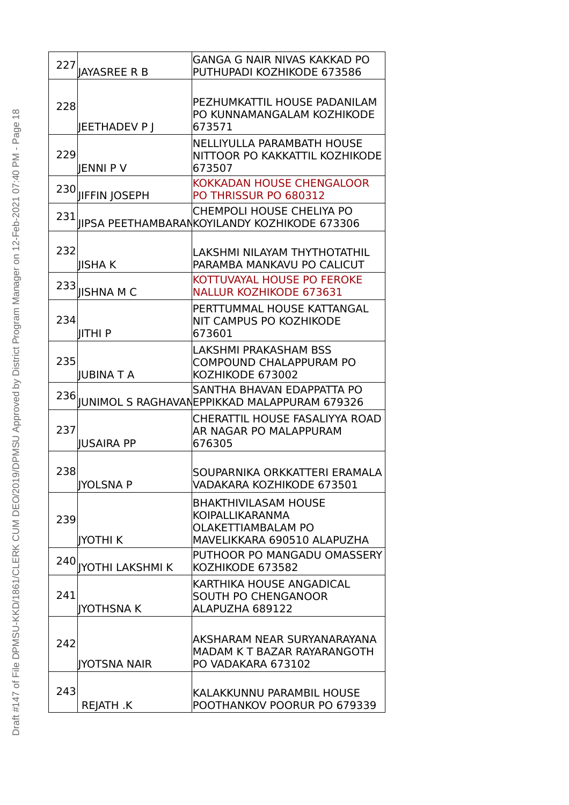|     | 227   JAYASREE R B      | <b>GANGA G NAIR NIVAS KAKKAD PO</b><br>PUTHUPADI KOZHIKODE 673586                                                 |
|-----|-------------------------|-------------------------------------------------------------------------------------------------------------------|
| 228 | JEETHADEV P J           | PEZHUMKATTIL HOUSE PADANILAM<br>PO KUNNAMANGALAM KOZHIKODE<br>673571                                              |
| 229 | JENNI P V               | <b>NELLIYULLA PARAMBATH HOUSE</b><br>NITTOOR PO KAKKATTIL KOZHIKODE<br>673507                                     |
|     | 230 JIFFIN JOSEPH       | <b>KOKKADAN HOUSE CHENGALOOR</b><br><b>PO THRISSUR PO 680312</b>                                                  |
|     |                         | <b>CHEMPOLI HOUSE CHELIYA PO</b><br>231 JIPSA PEETHAMBARANKOYILANDY KOZHIKODE 673306                              |
| 232 | IISHA K                 | LAKSHMI NILAYAM THYTHOTATHIL<br>PARAMBA MANKAVU PO CALICUT                                                        |
|     | $233$   ISHNA M C       | KOTTUVAYAL HOUSE PO FEROKE<br><b>NALLUR KOZHIKODE 673631</b>                                                      |
| 234 | <b>IITHIP</b>           | PERTTUMMAL HOUSE KATTANGAL<br>NIT CAMPUS PO KOZHIKODE<br>673601                                                   |
| 235 | <b>IUBINA T A</b>       | <b>LAKSHMI PRAKASHAM BSS</b><br><b>COMPOUND CHALAPPURAM PO</b><br>KOZHIKODE 673002                                |
| 236 |                         | SANTHA BHAVAN EDAPPATTA PO<br>JUNIMOL S RAGHAVANEPPIKKAD MALAPPURAM 679326                                        |
| 237 | <b>IUSAIRA PP</b>       | CHERATTIL HOUSE FASALIYYA ROAD<br>AR NAGAR PO MALAPPURAM<br>676305                                                |
| 238 | <b>IYOLSNAP</b>         | SOUPARNIKA ORKKATTERI ERAMALA<br>VADAKARA KOZHIKODE 673501                                                        |
| 239 | <b>IYOTHI K</b>         | <b>BHAKTHIVILASAM HOUSE</b><br><b>KOIPALLIKARANMA</b><br><b>OLAKETTIAMBALAM PO</b><br>MAVELIKKARA 690510 ALAPUZHA |
| 240 | <b>IYOTHI LAKSHMI K</b> | PUTHOOR PO MANGADU OMASSERY<br>KOZHIKODE 673582                                                                   |
| 241 | <b>IYOTHSNAK</b>        | KARTHIKA HOUSE ANGADICAL<br><b>SOUTH PO CHENGANOOR</b><br>ALAPUZHA 689122                                         |
| 242 | <b>IYOTSNA NAIR</b>     | AKSHARAM NEAR SURYANARAYANA<br>MADAM K T BAZAR RAYARANGOTH<br>PO VADAKARA 673102                                  |
| 243 | <b>REJATH .K</b>        | KALAKKUNNU PARAMBIL HOUSE<br>POOTHANKOV POORUR PO 679339                                                          |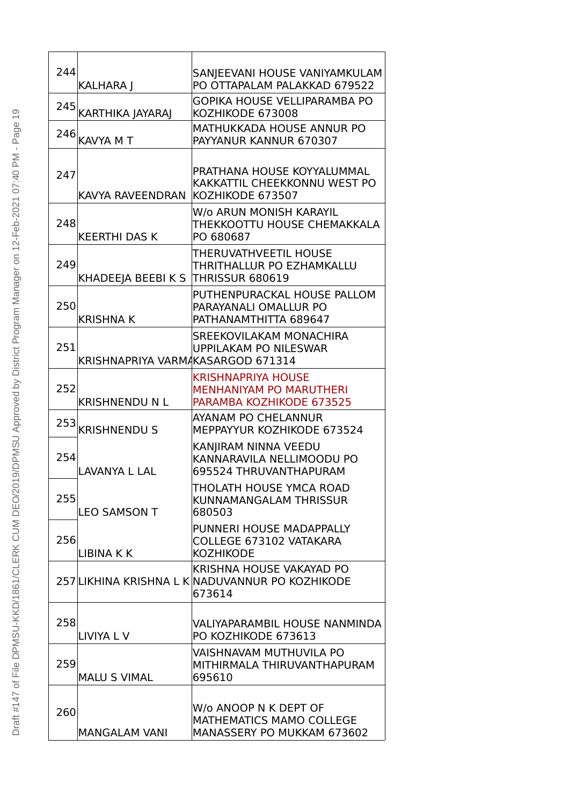| 244 | <b>KALHARA  </b>                  | SANJEEVANI HOUSE VANIYAMKULAM<br>PO OTTAPALAM PALAKKAD 679522                           |
|-----|-----------------------------------|-----------------------------------------------------------------------------------------|
|     | 245 KARTHIKA JAYARAJ              | GOPIKA HOUSE VELLIPARAMBA PO<br>KOZHIKODE 673008                                        |
|     | $246$ <sup>KAVYA MT</sup>         | MATHUKKADA HOUSE ANNUR PO<br>PAYYANUR KANNUR 670307                                     |
| 247 | KAVYA RAVEENDRAN                  | PRATHANA HOUSE KOYYALUMMAL<br>KAKKATTIL CHEEKKONNU WEST PO<br>KOZHIKODE 673507          |
| 248 | <b>KEERTHI DAS K</b>              | W/o ARUN MONISH KARAYIL<br>THEKKOOTTU HOUSE CHEMAKKALA<br>PO 680687                     |
| 249 | KHADEEJA BEEBI K S                | THERUVATHVEETIL HOUSE<br>THRITHALLUR PO EZHAMKALLU<br>THRISSUR 680619                   |
| 250 | <b>KRISHNA K</b>                  | PUTHENPURACKAL HOUSE PALLOM<br>PARAYANALI OMALLUR PO<br>PATHANAMTHITTA 689647           |
| 251 | KRISHNAPRIYA VARMAKASARGOD 671314 | SREEKOVILAKAM MONACHIRA<br><b>UPPILAKAM PO NILESWAR</b>                                 |
| 252 | <b>KRISHNENDU N L</b>             | <b>KRISHNAPRIYA HOUSE</b><br><b>MENHANIYAM PO MARUTHERI</b><br>PARAMBA KOZHIKODE 673525 |
| 253 | <b>KRISHNENDU S</b>               | AYANAM PO CHELANNUR<br>MEPPAYYUR KOZHIKODE 673524                                       |
| 254 | <b>LAVANYA L LAL</b>              | KANJIRAM NINNA VEEDU<br>KANNARAVILA NELLIMOODU PO<br>695524 THRUVANTHAPURAM             |
| 255 | <b>LEO SAMSON T</b>               | THOLATH HOUSE YMCA ROAD<br>KUNNAMANGALAM THRISSUR<br>680503                             |
| 256 | <b>LIBINA K K</b>                 | PUNNERI HOUSE MADAPPALLY<br>COLLEGE 673102 VATAKARA<br><b>KOZHIKODE</b>                 |
|     |                                   | KRISHNA HOUSE VAKAYAD PO<br>257 LIKHINA KRISHNA L K NADUVANNUR PO KOZHIKODE<br>673614   |
| 258 | LIVIYA L V                        | VALIYAPARAMBIL HOUSE NANMINDA<br>PO KOZHIKODE 673613                                    |
| 259 | <b>MALU S VIMAL</b>               | VAISHNAVAM MUTHUVILA PO<br>MITHIRMALA THIRUVANTHAPURAM<br>695610                        |
| 260 | <b>MANGALAM VANI</b>              | W/o ANOOP N K DEPT OF<br><b>MATHEMATICS MAMO COLLEGE</b><br>MANASSERY PO MUKKAM 673602  |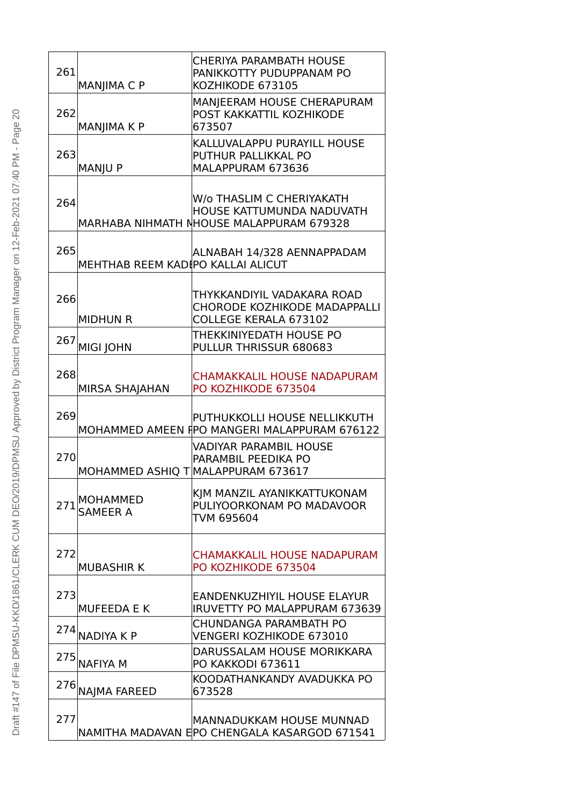| 261 | MANJIMA C P                       | <b>CHERIYA PARAMBATH HOUSE</b><br>PANIKKOTTY PUDUPPANAM PO<br>KOZHIKODE 673105                     |
|-----|-----------------------------------|----------------------------------------------------------------------------------------------------|
| 262 | MANJIMA K P                       | MANJEERAM HOUSE CHERAPURAM<br>POST KAKKATTIL KOZHIKODE<br>673507                                   |
| 263 | <b>MANJU P</b>                    | KALLUVALAPPU PURAYILL HOUSE<br>PUTHUR PALLIKKAL PO<br>MALAPPURAM 673636                            |
| 264 |                                   | W/o THASLIM C CHERIYAKATH<br>HOUSE KATTUMUNDA NADUVATH<br>MARHABA NIHMATH NHOUSE MALAPPURAM 679328 |
| 265 | MEHTHAB REEM KADIPO KALLAI ALICUT | ALNABAH 14/328 AENNAPPADAM                                                                         |
| 266 | <b>MIDHUN R</b>                   | THYKKANDIYIL VADAKARA ROAD<br><b>CHORODE KOZHIKODE MADAPPALLI</b><br>COLLEGE KERALA 673102         |
| 267 | <b>MIGI JOHN</b>                  | THEKKINIYEDATH HOUSE PO<br>PULLUR THRISSUR 680683                                                  |
| 268 | MIRSA SHAJAHAN                    | <b>CHAMAKKALIL HOUSE NADAPURAM</b><br>PO KOZHIKODE 673504                                          |
| 269 |                                   | PUTHUKKOLLI HOUSE NELLIKKUTH<br>MOHAMMED AMEEN FPO MANGERI MALAPPURAM 676122                       |
| 270 |                                   | VADIYAR PARAMBIL HOUSE<br>PARAMBIL PEEDIKA PO<br>MOHAMMED ASHIQ T MALAPPURAM 673617                |
| 271 | MOHAMMED<br>SAMEER A              | KIM MANZIL AYANIKKATTUKONAM<br>PULIYOORKONAM PO MADAVOOR<br>TVM 695604                             |
| 272 | <b>MUBASHIR K</b>                 | <b>CHAMAKKALIL HOUSE NADAPURAM</b><br>PO KOZHIKODE 673504                                          |
| 273 | <b>MUFEEDA E K</b>                | <b>EANDENKUZHIYIL HOUSE ELAYUR</b><br><b>IRUVETTY PO MALAPPURAM 673639</b>                         |
| 274 | <b>NADIYAKP</b>                   | CHUNDANGA PARAMBATH PO<br>VENGERI KOZHIKODE 673010                                                 |
|     | 275 NAFIYA M                      | DARUSSALAM HOUSE MORIKKARA<br>PO KAKKODI 673611                                                    |
| 276 | <b>NAJMA FAREED</b>               | KOODATHANKANDY AVADUKKA PO<br>673528                                                               |
| 277 |                                   | <b>MANNADUKKAM HOUSE MUNNAD</b><br>NAMITHA MADAVAN EPO CHENGALA KASARGOD 671541                    |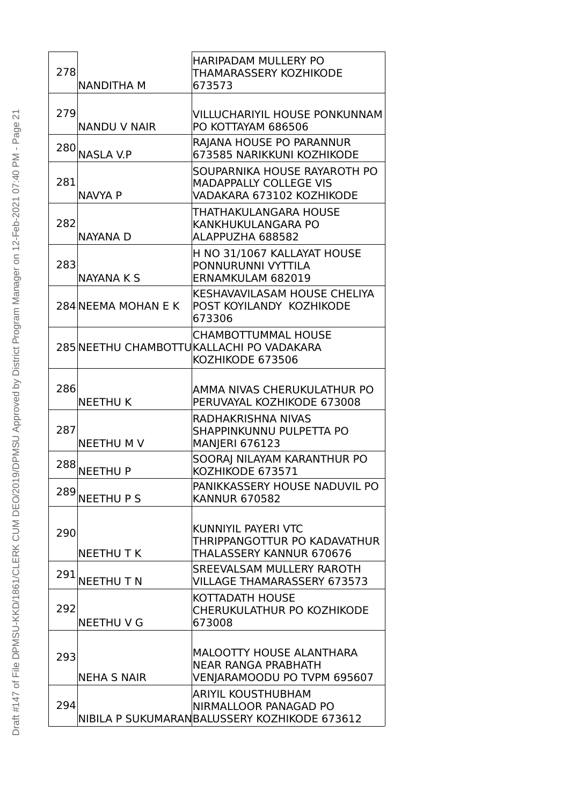| 278 | <b>NANDITHA M</b>   | <b>HARIPADAM MULLERY PO</b><br>THAMARASSERY KOZHIKODE<br>673573                                    |
|-----|---------------------|----------------------------------------------------------------------------------------------------|
| 279 | <b>NANDU V NAIR</b> | <b>VILLUCHARIYIL HOUSE PONKUNNAM</b><br>PO KOTTAYAM 686506                                         |
|     | 280 NASLA V.P       | RAJANA HOUSE PO PARANNUR<br>673585 NARIKKUNI KOZHIKODE                                             |
| 281 | <b>NAVYA P</b>      | SOUPARNIKA HOUSE RAYAROTH PO<br><b>MADAPPALLY COLLEGE VIS</b><br>VADAKARA 673102 KOZHIKODE         |
| 282 | <b>NAYANA D</b>     | THATHAKULANGARA HOUSE<br>KANKHUKULANGARA PO<br>ALAPPUZHA 688582                                    |
| 283 | <b>NAYANA K S</b>   | H NO 31/1067 KALLAYAT HOUSE<br>PONNURUNNI VYTTILA<br>ERNAMKULAM 682019                             |
|     | 284 NEEMA MOHAN E K | KESHAVAVILASAM HOUSE CHELIYA<br>POST KOYILANDY KOZHIKODE<br>673306                                 |
|     |                     | <b>CHAMBOTTUMMAL HOUSE</b><br>285 NEETHU CHAMBOTTUKALLACHI PO VADAKARA<br>KOZHIKODE 673506         |
| 286 | <b>NEETHUK</b>      | AMMA NIVAS CHERUKULATHUR PO<br>PERUVAYAL KOZHIKODE 673008                                          |
| 287 | <b>NEETHUMV</b>     | RADHAKRISHNA NIVAS<br>SHAPPINKUNNU PULPETTA PO<br><b>MANJERI 676123</b>                            |
| 288 | <b>NEETHUP</b>      | SOORAJ NILAYAM KARANTHUR PO<br>KOZHIKODE 673571                                                    |
| 289 | <b>NEETHUPS</b>     | PANIKKASSERY HOUSE NADUVIL PO<br><b>KANNUR 670582</b>                                              |
| 290 | <b>NEETHUTK</b>     | KUNNIYIL PAYERI VTC<br>THRIPPANGOTTUR PO KADAVATHUR<br>THALASSERY KANNUR 670676                    |
| 291 | NEETHU TN           | SREEVALSAM MULLERY RAROTH<br><b>VILLAGE THAMARASSERY 673573</b>                                    |
| 292 | <b>NEETHU V G</b>   | KOTTADATH HOUSE<br>CHERUKULATHUR PO KOZHIKODE<br>673008                                            |
| 293 | <b>NEHA S NAIR</b>  | MALOOTTY HOUSE ALANTHARA<br><b>NEAR RANGA PRABHATH</b><br>VENJARAMOODU PO TVPM 695607              |
| 294 |                     | <b>ARIYIL KOUSTHUBHAM</b><br>NIRMALLOOR PANAGAD PO<br>NIBILA P SUKUMARANBALUSSERY KOZHIKODE 673612 |

| J<br>I                          |
|---------------------------------|
| .<br>പ                          |
| ١<br>ಕ                          |
| $\overline{a}$<br>נ<br>٢        |
| ï                               |
| $\leq$                          |
| Ć<br>١                          |
| ¢                               |
|                                 |
| ľ                               |
| $\overline{\phantom{a}}$        |
|                                 |
| NOV<br>777                      |
|                                 |
|                                 |
|                                 |
| $2 - F$ eb<br>l                 |
| $\overline{\phantom{a}}$        |
| ī                               |
| Ś<br>$\overline{\phantom{a}}$   |
|                                 |
| ١                               |
|                                 |
|                                 |
| <b>Vlanager</b>                 |
| ś                               |
| ξ<br>Σ<br>$\bar{5}$             |
|                                 |
| ipoi                            |
| $\tilde{1}$                     |
| l                               |
| strict<br>)                     |
|                                 |
|                                 |
| Ĺ                               |
|                                 |
| ć<br>$\frac{2}{5}$              |
| ζ                               |
| $\mathcal{E}$<br>l              |
| ë<br>$\overline{ }$             |
|                                 |
|                                 |
| ř                               |
|                                 |
| )                               |
| Ō<br>$\frac{1}{2}$              |
|                                 |
| $\mathbf{r}$                    |
| נ<br>Ļ                          |
| চূ<br>C                         |
| ķ                               |
| $\tilde{\zeta}$<br>$\geq$       |
| Ĉ<br>ζ                          |
| ŭ                               |
| $\mathcal{L}$<br>$\overline{a}$ |
|                                 |
| $\geq$                          |
| ā                               |
|                                 |
| ļ                               |
| J<br>l                          |
| J<br>l<br>)                     |
|                                 |
| I                               |
| I                               |
|                                 |
| I<br>١                          |
|                                 |
|                                 |
|                                 |
| I<br>)                          |
|                                 |
| ĺ<br>I                          |
| I<br>I                          |
| j<br>Ï<br>١                     |
|                                 |
| l<br>١                          |
|                                 |
| I                               |
|                                 |
|                                 |
| I                               |
| Í<br>J                          |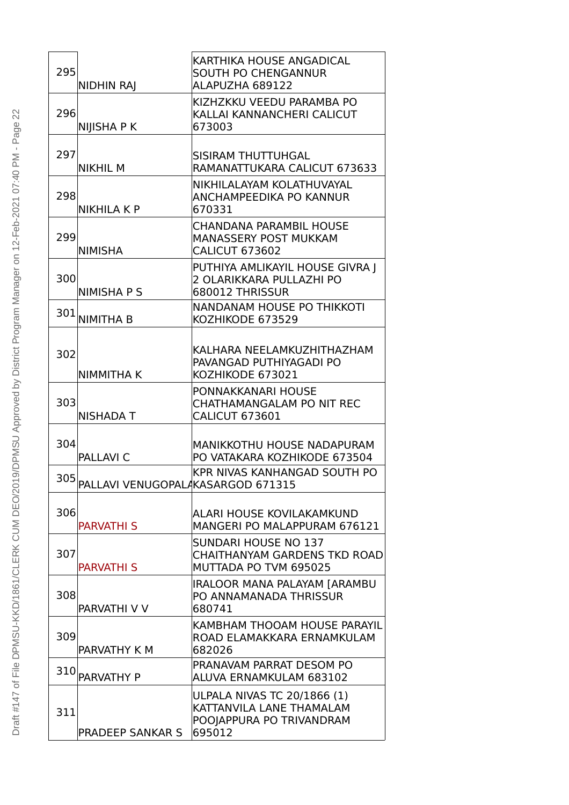| 295 | <b>NIDHIN RAJ</b>                 | KARTHIKA HOUSE ANGADICAL<br><b>SOUTH PO CHENGANNUR</b><br>ALAPUZHA 689122                            |
|-----|-----------------------------------|------------------------------------------------------------------------------------------------------|
| 296 | <b>NIJISHA P K</b>                | KIZHZKKU VEEDU PARAMBA PO<br>KALLAI KANNANCHERI CALICUT<br>673003                                    |
| 297 | <b>NIKHIL M</b>                   | SISIRAM THUTTUHGAL<br>RAMANATTUKARA CALICUT 673633                                                   |
| 298 | <b>NIKHILA K P</b>                | NIKHILALAYAM KOLATHUVAYAL<br>ANCHAMPEEDIKA PO KANNUR<br>670331                                       |
| 299 | <b>NIMISHA</b>                    | <b>CHANDANA PARAMBIL HOUSE</b><br><b>MANASSERY POST MUKKAM</b><br><b>CALICUT 673602</b>              |
| 300 | <b>NIMISHA P S</b>                | PUTHIYA AMLIKAYIL HOUSE GIVRA J<br>2 OLARIKKARA PULLAZHI PO<br>680012 THRISSUR                       |
| 301 | <b>NIMITHA B</b>                  | NANDANAM HOUSE PO THIKKOTI<br>KOZHIKODE 673529                                                       |
| 302 | <b>NIMMITHAK</b>                  | KALHARA NEELAMKUZHITHAZHAM<br>PAVANGAD PUTHIYAGADI PO<br>KOZHIKODE 673021                            |
| 303 | <b>NISHADA T</b>                  | PONNAKKANARI HOUSE<br>CHATHAMANGALAM PO NIT REC<br><b>CALICUT 673601</b>                             |
| 304 | <b>PALLAVI C</b>                  | <b>MANIKKOTHU HOUSE NADAPURAM</b><br>PO VATAKARA KOZHIKODE 673504                                    |
| 305 | PALLAVI VENUGOPALAKASARGOD 671315 | KPR NIVAS KANHANGAD SOUTH PO                                                                         |
| 306 | <b>PARVATHI S</b>                 | ALARI HOUSE KOVILAKAMKUND<br>MANGERI PO MALAPPURAM 676121                                            |
| 307 | <b>PARVATHI S</b>                 | <b>SUNDARI HOUSE NO 137</b><br><b>CHAITHANYAM GARDENS TKD ROAD</b><br>MUTTADA PO TVM 695025          |
| 308 | PARVATHI V V                      | IRALOOR MANA PALAYAM [ARAMBU<br>PO ANNAMANADA THRISSUR<br>680741                                     |
| 309 | PARVATHY K M                      | KAMBHAM THOOAM HOUSE PARAYIL<br>ROAD ELAMAKKARA ERNAMKULAM<br>682026                                 |
| 310 | PARVATHY P                        | PRANAVAM PARRAT DESOM PO<br>ALUVA ERNAMKULAM 683102                                                  |
| 311 | <b>PRADEEP SANKAR S</b>           | <b>ULPALA NIVAS TC 20/1866 (1)</b><br>KATTANVILA LANE THAMALAM<br>POOJAPPURA PO TRIVANDRAM<br>695012 |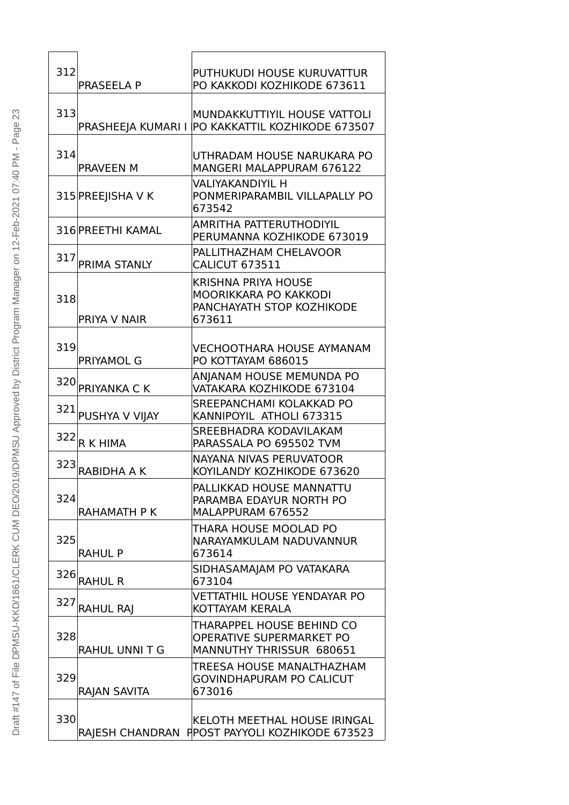| 312 | <b>PRASEELA P</b>    | PUTHUKUDI HOUSE KURUVATTUR<br>PO KAKKODI KOZHIKODE 673611                                  |
|-----|----------------------|--------------------------------------------------------------------------------------------|
| 313 | PRASHEEJA KUMARI I   | MUNDAKKUTTIYIL HOUSE VATTOLI<br><b>PO KAKKATTIL KOZHIKODE 673507</b>                       |
| 314 | <b>PRAVEEN M</b>     | UTHRADAM HOUSE NARUKARA PO<br><b>MANGERI MALAPPURAM 676122</b>                             |
|     | 315 PREEJISHA V K    | <b>VALIYAKANDIYIL H</b><br>PONMERIPARAMBIL VILLAPALLY PO<br>673542                         |
|     | 316 PREETHI KAMAL    | AMRITHA PATTERUTHODIYIL<br>PERUMANNA KOZHIKODE 673019                                      |
| 317 | PRIMA STANLY         | PALLITHAZHAM CHELAVOOR<br><b>CALICUT 673511</b>                                            |
| 318 | PRIYA V NAIR         | <b>KRISHNA PRIYA HOUSE</b><br>MOORIKKARA PO KAKKODI<br>PANCHAYATH STOP KOZHIKODE<br>673611 |
| 319 | <b>PRIYAMOL G</b>    | <b>VECHOOTHARA HOUSE AYMANAM</b><br>PO KOTTAYAM 686015                                     |
| 320 | <b>PRIYANKA C K</b>  | ANJANAM HOUSE MEMUNDA PO<br>VATAKARA KOZHIKODE 673104                                      |
|     | 321 PUSHYA V VIJAY   | SREEPANCHAMI KOLAKKAD PO<br>KANNIPOYIL ATHOLI 673315                                       |
| 322 | <b>R K HIMA</b>      | SREEBHADRA KODAVILAKAM<br>PARASSALA PO 695502 TVM                                          |
| 323 | <b>RABIDHA A K</b>   | NAYANA NIVAS PERUVATOOR<br>KOYILANDY KOZHIKODE 673620                                      |
| 324 | RAHAMATH P K         | PALLIKKAD HOUSE MANNATTU<br>PARAMBA EDAYUR NORTH PO<br>MALAPPURAM 676552                   |
| 325 | <b>RAHUL P</b>       | THARA HOUSE MOOLAD PO<br>NARAYAMKULAM NADUVANNUR<br>673614                                 |
| 326 | <b>RAHUL R</b>       | SIDHASAMAJAM PO VATAKARA<br>673104                                                         |
| 327 | <b>RAHUL RAJ</b>     | <b>VETTATHIL HOUSE YENDAYAR PO</b><br>KOTTAYAM KERALA                                      |
| 328 | <b>RAHUL UNNIT G</b> | THARAPPEL HOUSE BEHIND CO<br><b>OPERATIVE SUPERMARKET PO</b><br>MANNUTHY THRISSUR 680651   |
| 329 | RAJAN SAVITA         | TREESA HOUSE MANALTHAZHAM<br><b>GOVINDHAPURAM PO CALICUT</b><br>673016                     |
| 330 |                      | KELOTH MEETHAL HOUSE IRINGAL<br>RAJESH CHANDRAN FIPOST PAYYOLI KOZHIKODE 673523            |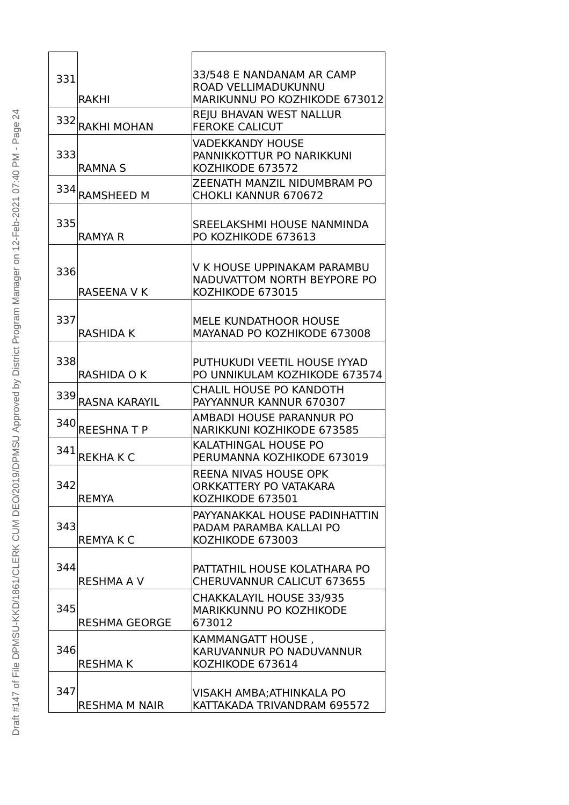| 331 | RAKHI                | 33/548 E NANDANAM AR CAMP<br>ROAD VELLIMADUKUNNU<br>MARIKUNNU PO KOZHIKODE 673012 |
|-----|----------------------|-----------------------------------------------------------------------------------|
| 332 | <b>RAKHI MOHAN</b>   | <b>REJU BHAVAN WEST NALLUR</b><br><b>FEROKE CALICUT</b>                           |
| 333 | <b>RAMNA S</b>       | <b>VADEKKANDY HOUSE</b><br>PANNIKKOTTUR PO NARIKKUNI<br>KOZHIKODE 673572          |
| 334 | <b>RAMSHEED M</b>    | ZEENATH MANZIL NIDUMBRAM PO<br><b>CHOKLI KANNUR 670672</b>                        |
| 335 | RAMYA R              | SREELAKSHMI HOUSE NANMINDA<br>PO KOZHIKODE 673613                                 |
| 336 | <b>RASEENA V K</b>   | V K HOUSE UPPINAKAM PARAMBU<br>NADUVATTOM NORTH BEYPORE PO<br>KOZHIKODE 673015    |
| 337 | RASHIDA K            | <b>MELE KUNDATHOOR HOUSE</b><br>MAYANAD PO KOZHIKODE 673008                       |
| 338 | <b>RASHIDA O K</b>   | PUTHUKUDI VEETIL HOUSE IYYAD<br>PO UNNIKULAM KOZHIKODE 673574                     |
| 339 | <b>RASNA KARAYIL</b> | <b>CHALIL HOUSE PO KANDOTH</b><br>PAYYANNUR KANNUR 670307                         |
| 340 | <b>REESHNATP</b>     | AMBADI HOUSE PARANNUR PO<br>NARIKKUNI KOZHIKODE 673585                            |
| 341 | <b>REKHAKC</b>       | KALATHINGAL HOUSE PO<br>PERUMANNA KOZHIKODE 673019                                |
| 342 | <b>REMYA</b>         | <b>REENA NIVAS HOUSE OPK</b><br>ORKKATTERY PO VATAKARA<br>KOZHIKODE 673501        |
| 343 | <b>REMYAKC</b>       | PAYYANAKKAL HOUSE PADINHATTIN<br>PADAM PARAMBA KALLAI PO<br>KOZHIKODE 673003      |
| 344 | <b>RESHMA A V</b>    | PATTATHIL HOUSE KOLATHARA PO<br>CHERUVANNUR CALICUT 673655                        |
| 345 | <b>RESHMA GEORGE</b> | <b>CHAKKALAYIL HOUSE 33/935</b><br>MARIKKUNNU PO KOZHIKODE<br>673012              |
| 346 | <b>RESHMAK</b>       | KAMMANGATT HOUSE,<br>KARUVANNUR PO NADUVANNUR<br>KOZHIKODE 673614                 |
| 347 | <b>RESHMA M NAIR</b> | VISAKH AMBA; ATHINKALA PO<br>KATTAKADA TRIVANDRAM 695572                          |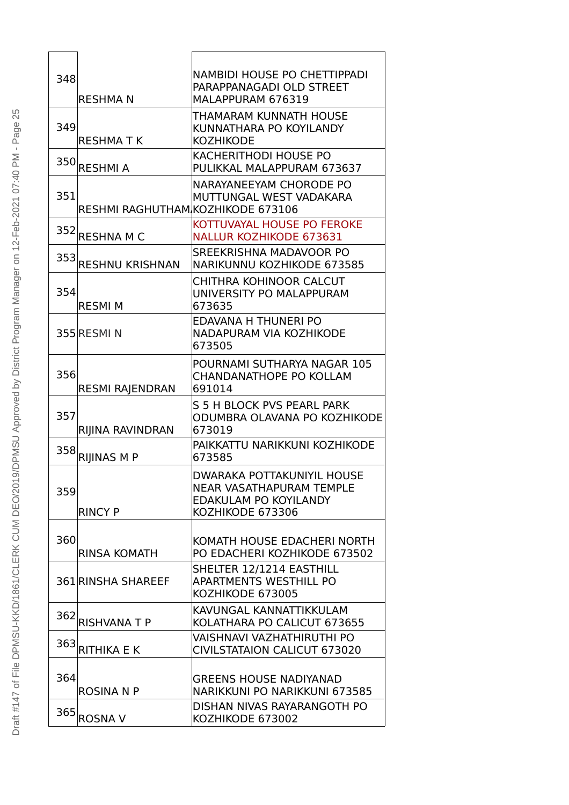| 348 |                                   | <b>NAMBIDI HOUSE PO CHETTIPPADI</b><br>PARAPPANAGADI OLD STREET      |
|-----|-----------------------------------|----------------------------------------------------------------------|
|     | <b>RESHMAN</b>                    | MALAPPURAM 676319                                                    |
|     |                                   | THAMARAM KUNNATH HOUSE                                               |
| 349 | <b>RESHMATK</b>                   | KUNNATHARA PO KOYILANDY<br><b>KOZHIKODE</b>                          |
| 350 |                                   | <b>KACHERITHODI HOUSE PO</b>                                         |
|     | <b>RESHMIA</b>                    | PULIKKAL MALAPPURAM 673637                                           |
| 351 |                                   | NARAYANEEYAM CHORODE PO<br>MUTTUNGAL WEST VADAKARA                   |
|     | RESHMI RAGHUTHAM KOZHIKODE 673106 |                                                                      |
| 352 |                                   | KOTTUVAYAL HOUSE PO FEROKE                                           |
|     | <b>RESHNA M C</b>                 | <b>NALLUR KOZHIKODE 673631</b>                                       |
|     | 353 RESHNU KRISHNAN               | SREEKRISHNA MADAVOOR PO<br>NARIKUNNU KOZHIKODE 673585                |
|     |                                   | CHITHRA KOHINOOR CALCUT                                              |
| 354 | <b>RESMI M</b>                    | UNIVERSITY PO MALAPPURAM<br>673635                                   |
|     |                                   | EDAVANA H THUNERI PO                                                 |
|     | 355 RESMIN                        | NADAPURAM VIA KOZHIKODE                                              |
|     |                                   | 673505                                                               |
| 356 |                                   | POURNAMI SUTHARYA NAGAR 105<br><b>CHANDANATHOPE PO KOLLAM</b>        |
|     | <b>RESMI RAJENDRAN</b>            | 691014                                                               |
| 357 |                                   | S 5 H BLOCK PVS PEARL PARK                                           |
|     | RIJINA RAVINDRAN                  | ODUMBRA OLAVANA PO KOZHIKODE<br>673019                               |
| 358 |                                   | PAIKKATTU NARIKKUNI KOZHIKODE                                        |
|     | <b>RIJINAS M P</b>                | 673585                                                               |
|     |                                   | <b>DWARAKA POTTAKUNIYIL HOUSE</b><br><b>NEAR VASATHAPURAM TEMPLE</b> |
| 359 |                                   | <b>EDAKULAM PO KOYILANDY</b>                                         |
|     | <b>RINCY P</b>                    | KOZHIKODE 673306                                                     |
| 360 |                                   | KOMATH HOUSE EDACHERI NORTH                                          |
|     | <b>RINSA KOMATH</b>               | PO EDACHERI KOZHIKODE 673502                                         |
|     | 361 RINSHA SHAREEF                | SHELTER 12/1214 EASTHILL<br><b>APARTMENTS WESTHILL PO</b>            |
|     |                                   | KOZHIKODE 673005                                                     |
|     |                                   | KAVUNGAL KANNATTIKKULAM                                              |
|     | 362 RISHVANA T P                  | KOLATHARA PO CALICUT 673655                                          |
| 363 | <b>RITHIKA E K</b>                | VAISHNAVI VAZHATHIRUTHI PO<br><b>CIVILSTATAION CALICUT 673020</b>    |
|     |                                   |                                                                      |
| 364 | <b>ROSINA N P</b>                 | <b>GREENS HOUSE NADIYANAD</b><br>NARIKKUNI PO NARIKKUNI 673585       |
|     |                                   | DISHAN NIVAS RAYARANGOTH PO                                          |
| 365 | <b>ROSNA V</b>                    | KOZHIKODE 673002                                                     |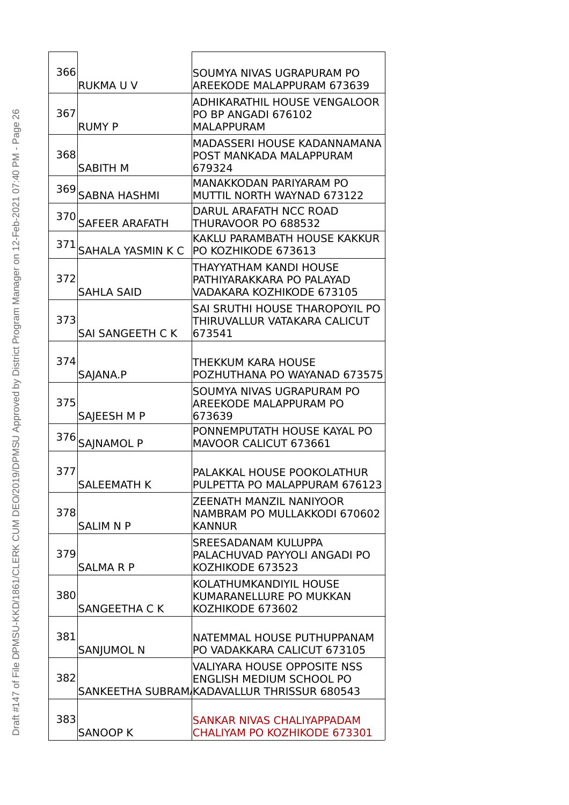| 366 | <b>RUKMAUV</b>           | SOUMYA NIVAS UGRAPURAM PO                                         |
|-----|--------------------------|-------------------------------------------------------------------|
|     |                          | <b>AREEKODE MALAPPURAM 673639</b><br>ADHIKARATHIL HOUSE VENGALOOR |
| 367 |                          | PO BP ANGADI 676102                                               |
|     | <b>RUMY P</b>            | <b>MALAPPURAM</b>                                                 |
| 368 |                          | MADASSERI HOUSE KADANNAMANA<br>POST MANKADA MALAPPURAM            |
|     | <b>SABITH M</b>          | 679324                                                            |
| 369 |                          | MANAKKODAN PARIYARAM PO                                           |
|     | <b>SABNA HASHMI</b>      | MUTTIL NORTH WAYNAD 673122                                        |
|     | 370 SAFEER ARAFATH       | DARUL ARAFATH NCC ROAD<br>THURAVOOR PO 688532                     |
|     |                          | KAKLU PARAMBATH HOUSE KAKKUR                                      |
| 371 | <b>SAHALA YASMIN K C</b> | PO KOZHIKODE 673613                                               |
|     |                          | THAYYATHAM KANDI HOUSE                                            |
| 372 | <b>SAHLA SAID</b>        | PATHIYARAKKARA PO PALAYAD<br>VADAKARA KOZHIKODE 673105            |
|     |                          | <b>SAI SRUTHI HOUSE THAROPOYIL PO</b>                             |
| 373 |                          | THIRUVALLUR VATAKARA CALICUT                                      |
|     | <b>SAI SANGEETH C K</b>  | 673541                                                            |
| 374 |                          |                                                                   |
|     | SAJANA.P                 | THEKKUM KARA HOUSE<br>POZHUTHANA PO WAYANAD 673575                |
|     |                          | SOUMYA NIVAS UGRAPURAM PO                                         |
| 375 |                          | <b>AREEKODE MALAPPURAM PO</b>                                     |
|     | SAJEESH M P              | 673639                                                            |
| 376 | <b>SAINAMOL P</b>        | PONNEMPUTATH HOUSE KAYAL PO<br>MAVOOR CALICUT 673661              |
|     |                          |                                                                   |
| 377 |                          | PALAKKAL HOUSE POOKOLATHUR                                        |
|     | <b>SALEEMATH K</b>       | PULPETTA PO MALAPPURAM 676123                                     |
| 378 |                          | ZEENATH MANZIL NANIYOOR<br>NAMBRAM PO MULLAKKODI 670602           |
|     | <b>SALIM N P</b>         | <b>KANNUR</b>                                                     |
|     |                          | SREESADANAM KULUPPA                                               |
| 379 |                          | PALACHUVAD PAYYOLI ANGADI PO                                      |
|     | <b>SALMARP</b>           | KOZHIKODE 673523                                                  |
| 380 |                          | KOLATHUMKANDIYIL HOUSE<br>KUMARANELLURE PO MUKKAN                 |
|     | <b>SANGEETHA C K</b>     | KOZHIKODE 673602                                                  |
|     |                          |                                                                   |
| 381 |                          | NATEMMAL HOUSE PUTHUPPANAM<br>PO VADAKKARA CALICUT 673105         |
|     | <b>SANJUMOL N</b>        | <b>VALIYARA HOUSE OPPOSITE NSS</b>                                |
| 382 |                          | <b>ENGLISH MEDIUM SCHOOL PO</b>                                   |
|     |                          | SANKEETHA SUBRAM/KADAVALLUR THRISSUR 680543                       |
|     |                          |                                                                   |
| 383 | <b>SANOOP K</b>          | SANKAR NIVAS CHALIYAPPADAM<br>CHALIYAM PO KOZHIKODE 673301        |
|     |                          |                                                                   |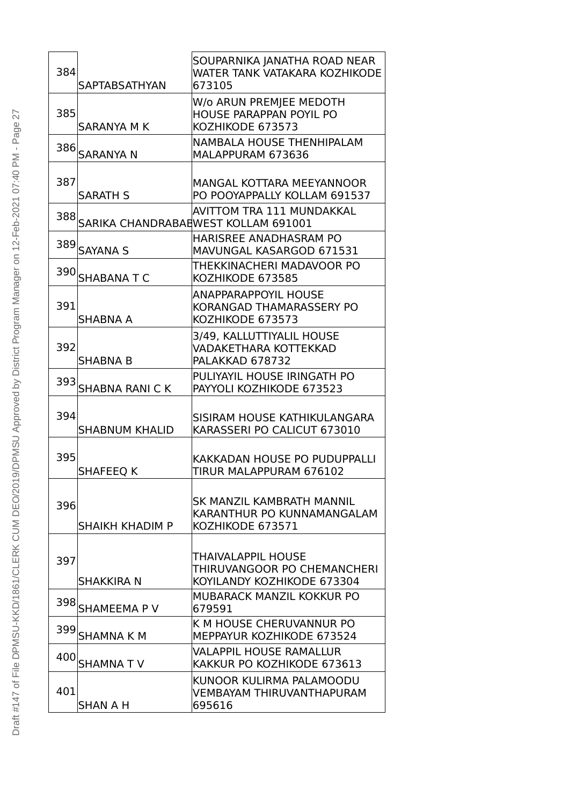| 384<br><b>SAPTABSATHYAN</b>             | SOUPARNIKA JANATHA ROAD NEAR<br><b>WATER TANK VATAKARA KOZHIKODE</b><br>673105     |
|-----------------------------------------|------------------------------------------------------------------------------------|
| 385<br><b>SARANYA M K</b>               | W/o ARUN PREMJEE MEDOTH<br><b>HOUSE PARAPPAN POYIL PO</b><br>KOZHIKODE 673573      |
| 386 SARANYA N                           | NAMBALA HOUSE THENHIPALAM<br>MALAPPURAM 673636                                     |
| 387<br><b>SARATH S</b>                  | MANGAL KOTTARA MEEYANNOOR<br>PO POOYAPPALLY KOLLAM 691537                          |
| 388 SARIKA CHANDRABARWEST KOLLAM 691001 | AVITTOM TRA 111 MUNDAKKAL                                                          |
| 389 SAYANA S                            | HARISREE ANADHASRAM PO<br>MAVUNGAL KASARGOD 671531                                 |
| 390 SHABANA T C                         | THEKKINACHERI MADAVOOR PO<br>KOZHIKODE 673585                                      |
| 391<br><b>SHABNA A</b>                  | <b>ANAPPARAPPOYIL HOUSE</b><br>KORANGAD THAMARASSERY PO<br>KOZHIKODE 673573        |
| 392<br><b>SHABNA B</b>                  | 3/49, KALLUTTIYALIL HOUSE<br>VADAKETHARA KOTTEKKAD<br>PALAKKAD 678732              |
| 393 SHABNA RANI CK                      | PULIYAYIL HOUSE IRINGATH PO<br>PAYYOLI KOZHIKODE 673523                            |
| 394<br><b>SHABNUM KHALID</b>            | SISIRAM HOUSE KATHIKULANGARA<br>KARASSERI PO CALICUT 673010                        |
| 395<br><b>SHAFEEQ K</b>                 | <b>KAKKADAN HOUSE PO PUDUPPALLI</b><br>TIRUR MALAPPURAM 676102                     |
| 396<br><b>SHAIKH KHADIM P</b>           | <b>SK MANZIL KAMBRATH MANNIL</b><br>KARANTHUR PO KUNNAMANGALAM<br>KOZHIKODE 673571 |
| 397<br><b>SHAKKIRA N</b>                | THAIVALAPPIL HOUSE<br>THIRUVANGOOR PO CHEMANCHERI<br>KOYILANDY KOZHIKODE 673304    |
| 398<br><b>SHAMEEMA P V</b>              | <b>MUBARACK MANZIL KOKKUR PO</b><br>679591                                         |
| 399<br><b>SHAMNA K M</b>                | K M HOUSE CHERUVANNUR PO<br>MEPPAYUR KOZHIKODE 673524                              |
| 400 SHAMNA TV                           | <b>VALAPPIL HOUSE RAMALLUR</b><br>KAKKUR PO KOZHIKODE 673613                       |
| 401<br>SHAN A H                         | KUNOOR KULIRMA PALAMOODU<br>VEMBAYAM THIRUVANTHAPURAM<br>695616                    |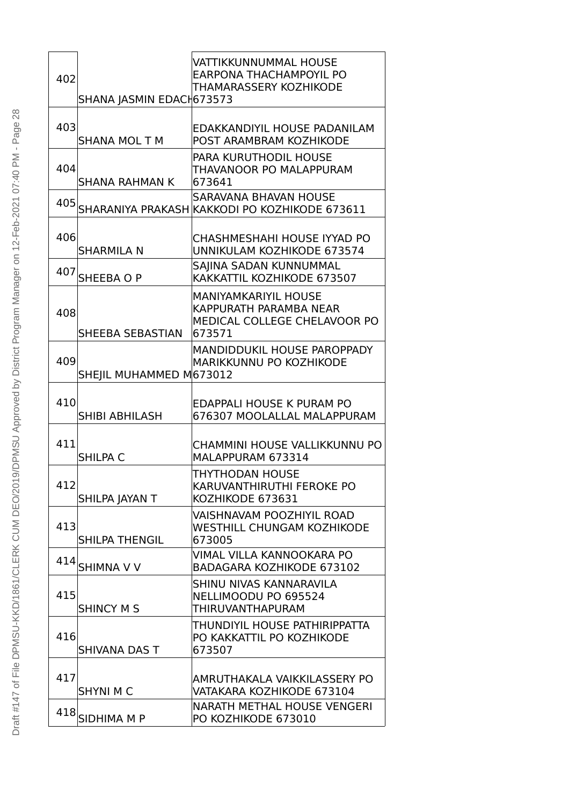| 402 |                          | VATTIKKUNNUMMAL HOUSE<br><b>EARPONA THACHAMPOYIL PO</b><br>THAMARASSERY KOZHIKODE               |
|-----|--------------------------|-------------------------------------------------------------------------------------------------|
|     | SHANA JASMIN EDACH673573 |                                                                                                 |
| 403 | <b>SHANA MOL T M</b>     | EDAKKANDIYIL HOUSE PADANILAM<br>POST ARAMBRAM KOZHIKODE                                         |
| 404 | <b>SHANA RAHMAN K</b>    | <b>PARA KURUTHODIL HOUSE</b><br>THAVANOOR PO MALAPPURAM<br>673641                               |
| 405 |                          | <b>SARAVANA BHAVAN HOUSE</b><br>SHARANIYA PRAKASH KAKKODI PO KOZHIKODE 673611                   |
| 406 | <b>SHARMILA N</b>        | CHASHMESHAHI HOUSE IYYAD PO<br><b>UNNIKULAM KOZHIKODE 673574</b>                                |
| 407 | SHEEBA O P               | SAJINA SADAN KUNNUMMAL<br>KAKKATTIL KOZHIKODE 673507                                            |
| 408 | SHEEBA SEBASTIAN         | <b>MANIYAMKARIYIL HOUSE</b><br>KAPPURATH PARAMBA NEAR<br>MEDICAL COLLEGE CHELAVOOR PO<br>673571 |
| 409 | SHEJIL MUHAMMED M673012  | MANDIDDUKIL HOUSE PAROPPADY<br>MARIKKUNNU PO KOZHIKODE                                          |
| 410 | SHIBI ABHILASH           | <b>EDAPPALI HOUSE K PURAM PO</b><br>676307 MOOLALLAL MALAPPURAM                                 |
| 411 | <b>SHILPA C</b>          | CHAMMINI HOUSE VALLIKKUNNU PO<br>MALAPPURAM 673314                                              |
| 412 | SHILPA JAYAN T           | THYTHODAN HOUSE<br>KARUVANTHIRUTHI FEROKE PO<br>KOZHIKODE 673631                                |
| 413 | <b>SHILPA THENGIL</b>    | <b>VAISHNAVAM POOZHIYIL ROAD</b><br><b>WESTHILL CHUNGAM KOZHIKODE</b><br>673005                 |
| 414 | <b>SHIMNA V V</b>        | VIMAL VILLA KANNOOKARA PO<br><b>BADAGARA KOZHIKODE 673102</b>                                   |
| 415 | <b>SHINCY M S</b>        | SHINU NIVAS KANNARAVILA<br>NELLIMOODU PO 695524<br>THIRUVANTHAPURAM                             |
| 416 | SHIVANA DAS T            | THUNDIYIL HOUSE PATHIRIPPATTA<br>PO KAKKATTIL PO KOZHIKODE<br>673507                            |
| 417 | <b>SHYNI M C</b>         | AMRUTHAKALA VAIKKILASSERY PO<br>VATAKARA KOZHIKODE 673104                                       |
| 418 | <b>SIDHIMA M P</b>       | NARATH METHAL HOUSE VENGERI<br>PO KOZHIKODE 673010                                              |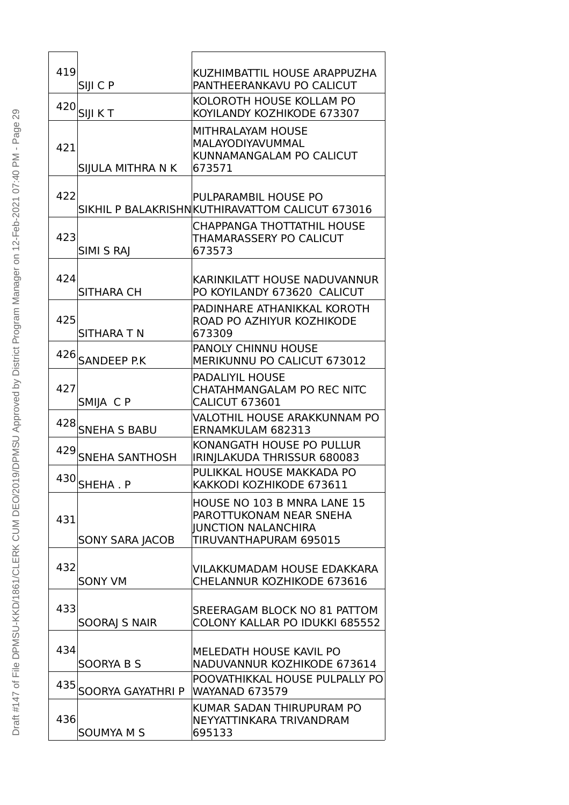| 419 | SIJI C P                 | KUZHIMBATTIL HOUSE ARAPPUZHA<br>PANTHEERANKAVU PO CALICUT |
|-----|--------------------------|-----------------------------------------------------------|
|     |                          | KOLOROTH HOUSE KOLLAM PO                                  |
|     | $420$ SIJI KT            | KOYILANDY KOZHIKODE 673307                                |
|     |                          | <b>MITHRALAYAM HOUSE</b><br>MALAYODIYAVUMMAL              |
| 421 |                          | KUNNAMANGALAM PO CALICUT                                  |
|     | SIJULA MITHRA N K        | 673571                                                    |
| 422 |                          | PULPARAMBIL HOUSE PO                                      |
|     |                          | SIKHIL P BALAKRISHNKUTHIRAVATTOM CALICUT 673016           |
|     |                          | <b>CHAPPANGA THOTTATHIL HOUSE</b>                         |
| 423 | SIMI S RAJ               | THAMARASSERY PO CALICUT<br>673573                         |
|     |                          |                                                           |
| 424 |                          | KARINKILATT HOUSE NADUVANNUR                              |
|     | <b>SITHARA CH</b>        | PO KOYILANDY 673620 CALICUT                               |
| 425 |                          | PADINHARE ATHANIKKAL KOROTH<br>ROAD PO AZHIYUR KOZHIKODE  |
|     | SITHARA T N              | 673309                                                    |
|     |                          | <b>PANOLY CHINNU HOUSE</b>                                |
|     | 426 SANDEEP P.K          | <b>MERIKUNNU PO CALICUT 673012</b>                        |
| 427 |                          | <b>PADALIYIL HOUSE</b><br>CHATAHMANGALAM PO REC NITC      |
|     | SMIJA CP                 | <b>CALICUT 673601</b>                                     |
|     |                          | VALOTHIL HOUSE ARAKKUNNAM PO                              |
|     | 428 SNEHA S BABU         | ERNAMKULAM 682313<br>KONANGATH HOUSE PO PULLUR            |
| 429 | <b>SNEHA SANTHOSH</b>    | IRINJLAKUDA THRISSUR 680083                               |
| 430 |                          | PULIKKAL HOUSE MAKKADA PO                                 |
|     | SHEHA.P                  | KAKKODI KOZHIKODE 673611                                  |
|     |                          | HOUSE NO 103 B MNRA LANE 15<br>PAROTTUKONAM NEAR SNEHA    |
| 431 |                          | <b>JUNCTION NALANCHIRA</b>                                |
|     | <b>SONY SARA JACOB</b>   | TIRUVANTHAPURAM 695015                                    |
| 432 |                          | VILAKKUMADAM HOUSE EDAKKARA                               |
|     | <b>SONY VM</b>           | CHELANNUR KOZHIKODE 673616                                |
|     |                          |                                                           |
| 433 |                          | SREERAGAM BLOCK NO 81 PATTOM                              |
|     | <b>SOORAJ S NAIR</b>     | <b>COLONY KALLAR PO IDUKKI 685552</b>                     |
| 434 |                          | MELEDATH HOUSE KAVIL PO                                   |
|     | <b>SOORYA B S</b>        | NADUVANNUR KOZHIKODE 673614                               |
| 435 | <b>SOORYA GAYATHRI P</b> | POOVATHIKKAL HOUSE PULPALLY PO<br><b>WAYANAD 673579</b>   |
|     |                          | KUMAR SADAN THIRUPURAM PO                                 |
| 436 |                          | NEYYATTINKARA TRIVANDRAM                                  |
|     | <b>SOUMYA M S</b>        | 695133                                                    |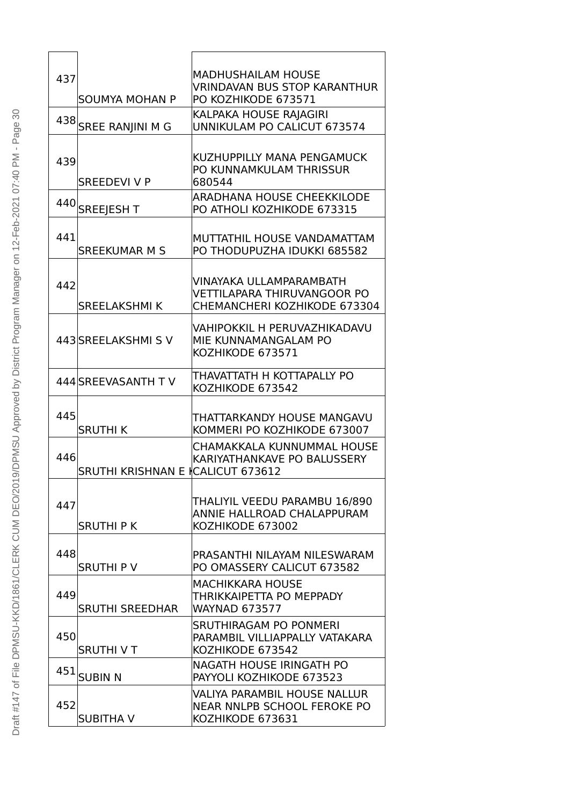| 437 |                                   | <b>MADHUSHAILAM HOUSE</b><br><b>VRINDAVAN BUS STOP KARANTHUR</b>   |
|-----|-----------------------------------|--------------------------------------------------------------------|
|     | <b>SOUMYA MOHAN P</b>             | PO KOZHIKODE 673571                                                |
|     | 438 SREE RANJINI M G              | KALPAKA HOUSE RAJAGIRI<br><b>UNNIKULAM PO CALICUT 673574</b>       |
|     |                                   |                                                                    |
| 439 |                                   | KUZHUPPILLY MANA PENGAMUCK                                         |
|     | <b>SREEDEVI V P</b>               | PO KUNNAMKULAM THRISSUR<br>680544                                  |
|     | 440 SREEJESH T                    | ARADHANA HOUSE CHEEKKILODE                                         |
|     |                                   | PO ATHOLI KOZHIKODE 673315                                         |
| 441 |                                   | MUTTATHIL HOUSE VANDAMATTAM                                        |
|     | <b>SREEKUMAR M S</b>              | PO THODUPUZHA IDUKKI 685582                                        |
| 442 |                                   | VINAYAKA ULLAMPARAMBATH                                            |
|     | <b>SREELAKSHMIK</b>               | <b>VETTILAPARA THIRUVANGOOR PO</b><br>CHEMANCHERI KOZHIKODE 673304 |
|     |                                   |                                                                    |
|     | 443 SREELAKSHMIS V                | VAHIPOKKIL H PERUVAZHIKADAVU<br>MIE KUNNAMANGALAM PO               |
|     |                                   | KOZHIKODE 673571                                                   |
|     | 444 SREEVASANTH TV                | THAVATTATH H KOTTAPALLY PO                                         |
|     |                                   | KOZHIKODE 673542                                                   |
| 445 |                                   | THATTARKANDY HOUSE MANGAVU                                         |
|     | <b>SRUTHIK</b>                    | KOMMERI PO KOZHIKODE 673007                                        |
| 446 |                                   | CHAMAKKALA KUNNUMMAL HOUSE<br>KARIYATHANKAVE PO BALUSSERY          |
|     | SRUTHI KRISHNAN E ICALICUT 673612 |                                                                    |
|     |                                   | THALIYIL VEEDU PARAMBU 16/890                                      |
| 447 |                                   | ANNIE HALLROAD CHALAPPURAM                                         |
|     | <b>SRUTHIPK</b>                   | KOZHIKODE 673002                                                   |
| 448 |                                   | PRASANTHI NILAYAM NILESWARAM                                       |
|     | <b>SRUTHIPV</b>                   | PO OMASSERY CALICUT 673582                                         |
| 449 |                                   | <b>MACHIKKARA HOUSE</b><br>THRIKKAIPETTA PO MEPPADY                |
|     | <b>SRUTHI SREEDHAR</b>            | <b>WAYNAD 673577</b>                                               |
| 450 |                                   | <b>SRUTHIRAGAM PO PONMERI</b><br>PARAMBIL VILLIAPPALLY VATAKARA    |
|     | <b>SRUTHIVT</b>                   | KOZHIKODE 673542                                                   |
| 451 | <b>SUBIN N</b>                    | NAGATH HOUSE IRINGATH PO<br>PAYYOLI KOZHIKODE 673523               |
|     |                                   | VALIYA PARAMBIL HOUSE NALLUR                                       |
| 452 |                                   | NEAR NNLPB SCHOOL FEROKE PO                                        |
|     | <b>SUBITHA V</b>                  | KOZHIKODE 673631                                                   |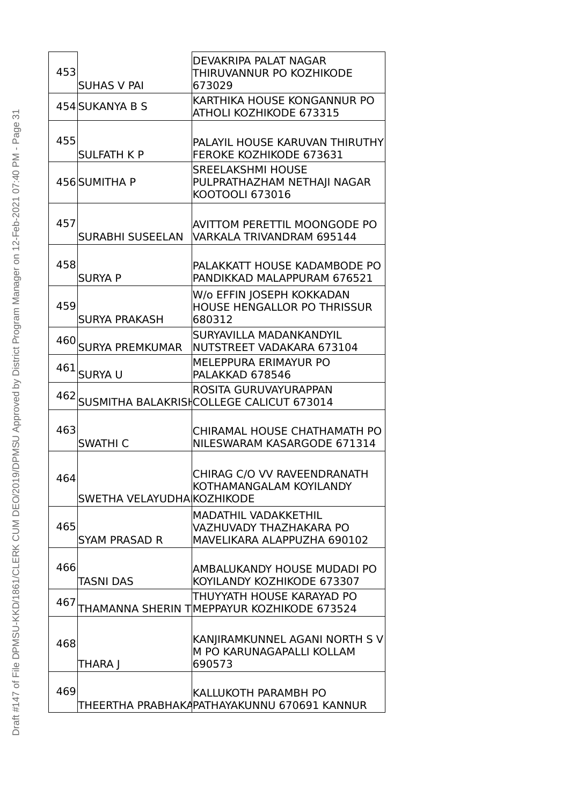| 453 | <b>SUHAS V PAI</b>         | DEVAKRIPA PALAT NAGAR<br>THIRUVANNUR PO KOZHIKODE<br>673029                           |
|-----|----------------------------|---------------------------------------------------------------------------------------|
|     | 454 SUKANYA B S            | KARTHIKA HOUSE KONGANNUR PO<br>ATHOLI KOZHIKODE 673315                                |
| 455 | <b>SULFATH K P</b>         | PALAYIL HOUSE KARUVAN THIRUTHY<br><b>FEROKE KOZHIKODE 673631</b>                      |
|     | 456 SUMITHA P              | <b>SREELAKSHMI HOUSE</b><br>PULPRATHAZHAM NETHAJI NAGAR<br>KOOTOOLI 673016            |
| 457 | <b>SURABHI SUSEELAN</b>    | <b>AVITTOM PERETTIL MOONGODE PO</b><br>VARKALA TRIVANDRAM 695144                      |
| 458 | <b>SURYA P</b>             | PALAKKATT HOUSE KADAMBODE PO<br>PANDIKKAD MALAPPURAM 676521                           |
| 459 | <b>SURYA PRAKASH</b>       | W/o EFFIN JOSEPH KOKKADAN<br><b>HOUSE HENGALLOR PO THRISSUR</b><br>680312             |
|     | 460 SURYA PREMKUMAR        | SURYAVILLA MADANKANDYIL<br>NUTSTREET VADAKARA 673104                                  |
|     | 461 SURYA U                | <b>MELEPPURA ERIMAYUR PO</b><br>PALAKKAD 678546                                       |
|     |                            | ROSITA GURUVAYURAPPAN<br>462 SUSMITHA BALAKRISHCOLLEGE CALICUT 673014                 |
| 463 | <b>SWATHI C</b>            | CHIRAMAL HOUSE CHATHAMATH PO<br>NILESWARAM KASARGODE 671314                           |
| 464 | SWETHA VELAYUDHA KOZHIKODE | CHIRAG C/O VV RAVEENDRANATH<br>KOTHAMANGALAM KOYILANDY                                |
| 465 | <b>SYAM PRASAD R</b>       | <b>MADATHIL VADAKKETHIL</b><br>VAZHUVADY THAZHAKARA PO<br>MAVELIKARA ALAPPUZHA 690102 |
| 466 | <b>TASNI DAS</b>           | AMBALUKANDY HOUSE MUDADI PO<br>KOYILANDY KOZHIKODE 673307                             |
| 467 |                            | THUYYATH HOUSE KARAYAD PO<br>THAMANNA SHERIN T MEPPAYUR KOZHIKODE 673524              |
| 468 | THARA J                    | KANJIRAMKUNNEL AGANI NORTH S V<br>M PO KARUNAGAPALLI KOLLAM<br>690573                 |
| 469 |                            | KALLUKOTH PARAMBH PO<br>THEERTHA PRABHAKAPATHAYAKUNNU 670691 KANNUR                   |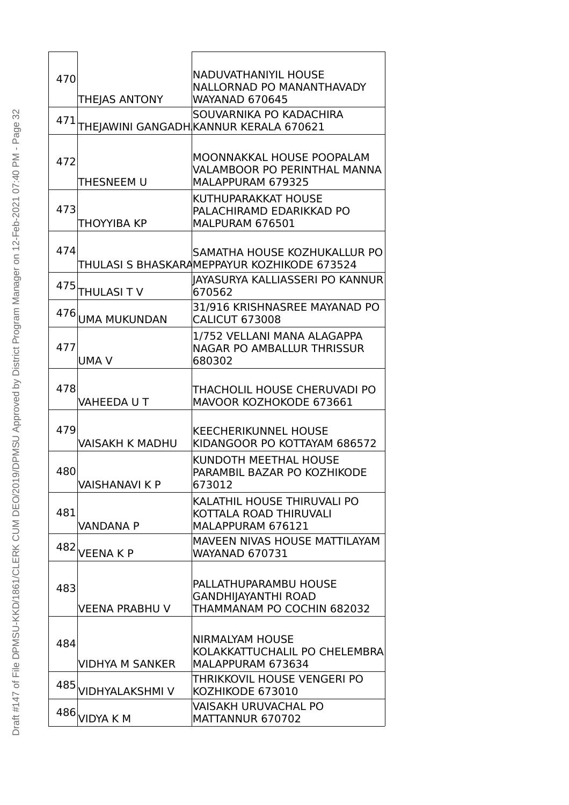|     |                        | <b>NADUVATHANIYIL HOUSE</b>                                       |
|-----|------------------------|-------------------------------------------------------------------|
| 470 |                        | NALLORNAD PO MANANTHAVADY                                         |
|     | THEJAS ANTONY          | <b>WAYANAD 670645</b>                                             |
| 471 |                        | SOUVARNIKA PO KADACHIRA<br>THEJAWINI GANGADH KANNUR KERALA 670621 |
|     |                        |                                                                   |
|     |                        | MOONNAKKAL HOUSE POOPALAM                                         |
| 472 |                        | <b>VALAMBOOR PO PERINTHAL MANNA</b>                               |
|     | THESNEEM U             | MALAPPURAM 679325                                                 |
| 473 |                        | KUTHUPARAKKAT HOUSE                                               |
|     | THOYYIBA KP            | PALACHIRAMD EDARIKKAD PO<br>MALPURAM 676501                       |
|     |                        |                                                                   |
| 474 |                        | SAMATHA HOUSE KOZHUKALLUR PO                                      |
|     |                        | THULASI S BHASKARAMEPPAYUR KOZHIKODE 673524                       |
| 475 | THULASI TV             | IAYASURYA KALLIASSERI PO KANNUR<br>670562                         |
|     |                        | 31/916 KRISHNASREE MAYANAD PO                                     |
| 476 | <b>UMA MUKUNDAN</b>    | <b>CALICUT 673008</b>                                             |
|     |                        | 1/752 VELLANI MANA ALAGAPPA                                       |
| 477 |                        | <b>NAGAR PO AMBALLUR THRISSUR</b>                                 |
|     | <b>UMA V</b>           | 680302                                                            |
| 478 |                        | THACHOLIL HOUSE CHERUVADI PO                                      |
|     | VAHEEDA U T            | MAVOOR KOZHOKODE 673661                                           |
|     |                        |                                                                   |
| 479 |                        | <b>KEECHERIKUNNEL HOUSE</b>                                       |
|     | <b>VAISAKH K MADHU</b> | KIDANGOOR PO KOTTAYAM 686572                                      |
| 480 |                        | KUNDOTH MEETHAL HOUSE<br>PARAMBIL BAZAR PO KOZHIKODE              |
|     | <b>VAISHANAVI K P</b>  | 673012                                                            |
|     |                        | KALATHIL HOUSE THIRUVALI PO                                       |
| 481 |                        | KOTTALA ROAD THIRUVALI                                            |
|     | <b>VANDANA P</b>       | MALAPPURAM 676121                                                 |
| 482 | <b>VEENAKP</b>         | MAVEEN NIVAS HOUSE MATTILAYAM<br><b>WAYANAD 670731</b>            |
|     |                        |                                                                   |
| 483 |                        | PALLATHUPARAMBU HOUSE                                             |
|     |                        | <b>GANDHIJAYANTHI ROAD</b>                                        |
|     | <b>VEENA PRABHU V</b>  | THAMMANAM PO COCHIN 682032                                        |
|     |                        | <b>NIRMALYAM HOUSE</b>                                            |
| 484 |                        | KOLAKKATTUCHALIL PO CHELEMBRA                                     |
|     | <b>VIDHYA M SANKER</b> | MALAPPURAM 673634                                                 |
| 485 |                        | THRIKKOVIL HOUSE VENGERI PO                                       |
|     | VIDHYALAKSHMI V        | KOZHIKODE 673010                                                  |
| 486 | <b>VIDYA K M</b>       | VAISAKH URUVACHAL PO<br>MATTANNUR 670702                          |

| J                                                                           |
|-----------------------------------------------------------------------------|
| age<br>)                                                                    |
|                                                                             |
|                                                                             |
|                                                                             |
|                                                                             |
|                                                                             |
|                                                                             |
|                                                                             |
|                                                                             |
|                                                                             |
|                                                                             |
| J                                                                           |
|                                                                             |
|                                                                             |
| )                                                                           |
|                                                                             |
|                                                                             |
|                                                                             |
|                                                                             |
| Approved by District Program Manager on 12-Feb-2021 07:40 PM - P            |
|                                                                             |
|                                                                             |
|                                                                             |
| レクシー<br>EO/2019/DPMSU                                                       |
|                                                                             |
|                                                                             |
|                                                                             |
|                                                                             |
| IQ MN:                                                                      |
| ¢<br>)                                                                      |
|                                                                             |
| I<br>J<br>֦֧֦ׅׅ֚֚֚֚֚֚֚֚֚֚֚֚֚֚֚֡֕֡֡֡֡֡֡֡֡֡֬֡֡֝֡֓֡֡֡֬<br>J                    |
| $\overline{\mathcal{L}}$<br>)                                               |
| $\ddot{\phantom{0}}$                                                        |
| ļ<br>١                                                                      |
| i                                                                           |
| J                                                                           |
| ֚֘֝<br>֧֚֚֚֚֚֚֚֚֚֚֝֝֝֝<br>֧֖֖֖֖֖֖֖֖֧֚֚֚֚֚֚֚֚֚֚֚֚֚֚֚֚֚֚֚֚֚֝֝֝֝֝֝֝<br>֧֪֧֚֝֬֝ |
| ĺ<br>Ì<br>l                                                                 |
| J                                                                           |
| ä<br>ľ                                                                      |
| ₹                                                                           |
| I                                                                           |
| ι<br>۱                                                                      |
|                                                                             |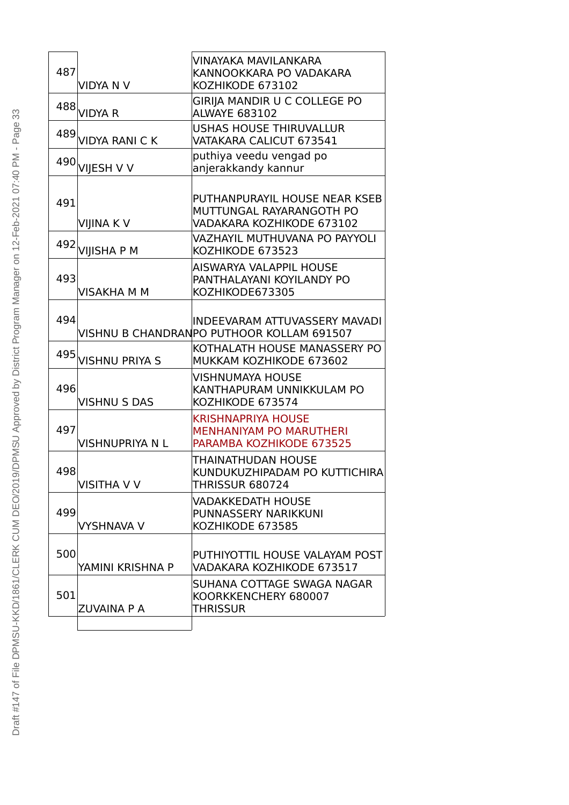| 487 | <b>VIDYA N V</b>       | VINAYAKA MAVILANKARA<br>KANNOOKKARA PO VADAKARA<br>KOZHIKODE 673102                     |
|-----|------------------------|-----------------------------------------------------------------------------------------|
|     | 488 VIDYA R            | GIRIJA MANDIR U C COLLEGE PO<br><b>ALWAYE 683102</b>                                    |
|     | 489 VIDYA RANI CK      | <b>USHAS HOUSE THIRUVALLUR</b><br>VATAKARA CALICUT 673541                               |
|     | 490 VIJESH V V         | puthiya veedu vengad po<br>anjerakkandy kannur                                          |
| 491 | <b>VIJINA KV</b>       | PUTHANPURAYIL HOUSE NEAR KSEB<br>MUTTUNGAL RAYARANGOTH PO<br>VADAKARA KOZHIKODE 673102  |
|     | 492 VIJISHA P M        | VAZHAYIL MUTHUVANA PO PAYYOLI<br>KOZHIKODE 673523                                       |
| 493 | <b>VISAKHA M M</b>     | AISWARYA VALAPPIL HOUSE<br>PANTHALAYANI KOYILANDY PO<br>KOZHIKODE673305                 |
| 494 |                        | <b>INDEEVARAM ATTUVASSERY MAVADI</b><br>VISHNU B CHANDRANPO PUTHOOR KOLLAM 691507       |
|     | 495 VISHNU PRIYA S     | KOTHALATH HOUSE MANASSERY PO<br>MUKKAM KOZHIKODE 673602                                 |
| 496 | <b>VISHNU S DAS</b>    | VISHNUMAYA HOUSE<br>KANTHAPURAM UNNIKKULAM PO<br>KOZHIKODE 673574                       |
| 497 | <b>VISHNUPRIYA N L</b> | <b>KRISHNAPRIYA HOUSE</b><br><b>MENHANIYAM PO MARUTHERI</b><br>PARAMBA KOZHIKODE 673525 |
| 498 | <b>VISITHA V V</b>     | THAINATHUDAN HOUSE<br>KUNDUKUZHIPADAM PO KUTTICHIRA<br><b>THRISSUR 680724</b>           |
| 499 | <b>VYSHNAVA V</b>      | <b>VADAKKEDATH HOUSE</b><br>PUNNASSERY NARIKKUNI<br>KOZHIKODE 673585                    |
| 500 | YAMINI KRISHNA P       | PUTHIYOTTIL HOUSE VALAYAM POST<br>VADAKARA KOZHIKODE 673517                             |
| 501 | <b>ZUVAINA P A</b>     | SUHANA COTTAGE SWAGA NAGAR<br>KOORKKENCHERY 680007<br>Thrissur                          |
|     |                        |                                                                                         |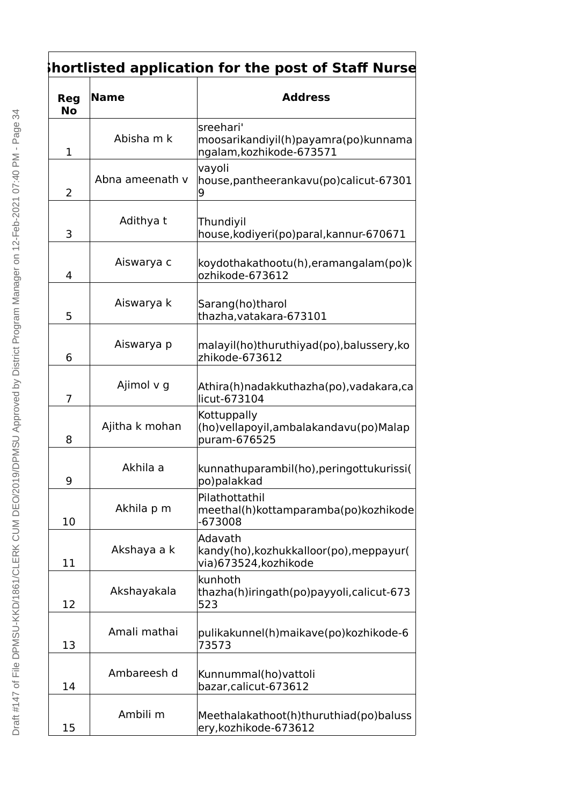## **Shortlisted application for the post of Staff Nurse**

| <b>Reg</b><br><b>No</b> | Name            | <b>Address</b>                                                                |
|-------------------------|-----------------|-------------------------------------------------------------------------------|
| 1                       | Abisha m k      | sreehari'<br>moosarikandiyil(h)payamra(po)kunnama<br>ngalam, kozhikode-673571 |
| 2                       | Abna ameenath v | vayoli<br>house, pantheerankavu (po) calicut-67301<br>9                       |
| 3                       | Adithya t       | Thundiyil<br>house, kodiyeri (po) paral, kannur-670671                        |
| 4                       | Aiswarya c      | koydothakathootu(h),eramangalam(po)k<br>ozhikode-673612                       |
| 5                       | Aiswarya k      | Sarang(ho)tharol<br>thazha, vatakara-673101                                   |
| 6                       | Aiswarya p      | malayil(ho)thuruthiyad(po),balussery,ko<br>zhikode-673612                     |
| 7                       | Ajimol v g      | Athira(h)nadakkuthazha(po), vadakara, ca<br>licut-673104                      |
| 8                       | Ajitha k mohan  | Kottuppally<br>(ho) vella poyil, ambalakanda vu (po) Malap<br>puram-676525    |
| 9                       | Akhila a        | kunnathuparambil(ho), peringottukurissi (<br>po)palakkad                      |
| 10                      | Akhila p m      | Pilathottathil<br>meethal(h) kottamparamba(po) kozhikode<br>$-673008$         |
| 11                      | Akshaya a k     | Adavath<br>kandy(ho), kozhukkalloor(po), meppayur(<br>via) 673524, kozhikode  |
| 12                      | Akshayakala     | kunhoth<br>thazha(h)iringath(po)payyoli, calicut-673<br>523                   |
| 13                      | Amali mathai    | pulikakunnel(h)maikave(po)kozhikode-6<br>73573                                |
| 14                      | Ambareesh d     | Kunnummal(ho) vattoli<br>bazar, calicut-673612                                |
| 15                      | Ambili m        | Meethalakathoot(h)thuruthiad(po)baluss<br>ery, kozhikode-673612               |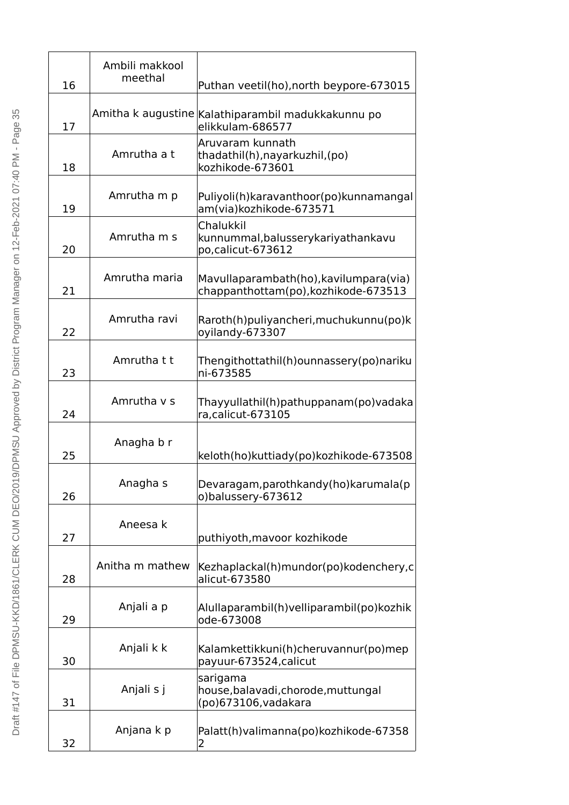| 16 | Ambili makkool<br>meethal | Puthan veetil(ho), north beypore-673015                                        |
|----|---------------------------|--------------------------------------------------------------------------------|
| 17 |                           | Amitha k augustine Kalathiparambil madukkakunnu po<br>elikkulam-686577         |
| 18 | Amrutha a t               | Aruvaram kunnath<br>thadathil(h), nayarkuzhil, (po)<br>kozhikode-673601        |
| 19 | Amrutha m p               | Puliyoli(h) karavanthoor (po) kunnamangal<br>am(via) kozhikode-673571          |
| 20 | Amrutha m s               | Chalukkil<br>kunnummal, balussery kariyathan kavu<br>po, calicut-673612        |
| 21 | Amrutha maria             | Mavullaparambath(ho), kavilumpara(via)<br>chappanthottam(po), kozhikode-673513 |
| 22 | Amrutha ravi              | Raroth(h)puliyancheri, muchukunnu(po)k<br>oyilandy-673307                      |
| 23 | Amrutha t t               | Thengithottathil(h)ounnassery(po)nariku<br>ni-673585                           |
| 24 | Amrutha y s               | Thayyullathil(h)pathuppanam(po)vadaka<br>ra, calicut-673105                    |
| 25 | Anagha b r                | keloth(ho)kuttiady(po)kozhikode-673508                                         |
| 26 | Anagha s                  | Devaragam, parothkandy (ho) karumala (p<br>o)balussery-673612                  |
| 27 | Aneesa k                  | puthiyoth, mavoor kozhikode                                                    |
| 28 | Anitha m mathew           | Kezhaplackal(h)mundor(po)kodenchery,c<br>alicut-673580                         |
| 29 | Anjali a p                | Alullaparambil(h) velliparambil(po) kozhik<br>ode-673008                       |
| 30 | Anjali k k                | Kalamkettikkuni(h)cheruvannur(po)mep<br>payuur-673524, calicut                 |
| 31 | Anjali s j                | sarigama<br>house, balavadi, chorode, muttungal<br>(po)673106, vadakara        |
| 32 | Anjana k p                | Palatt(h) valimanna(po) kozhikode-67358<br>2                                   |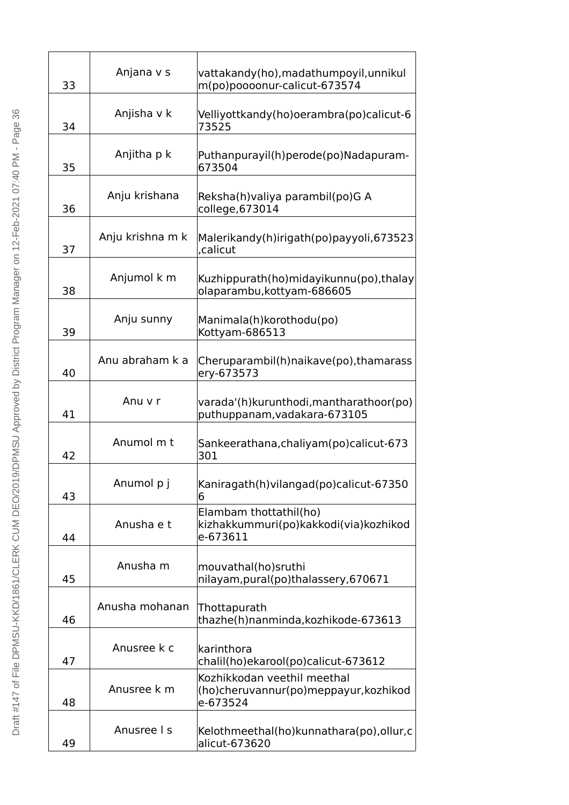| 33 | Anjana v s       | vattakandy(ho), madathumpoyil, unnikul<br>m(po)poooonur-calicut-673574           |
|----|------------------|----------------------------------------------------------------------------------|
| 34 | Anjisha v k      | Velliyottkandy(ho)oerambra(po)calicut-6<br>73525                                 |
| 35 | Anjitha p k      | Puthanpurayil(h)perode(po)Nadapuram-<br>673504                                   |
| 36 | Anju krishana    | Reksha(h)valiya parambil(po)G A<br>college, 673014                               |
| 37 | Anju krishna m k | Malerikandy(h)irigath(po)payyoli, 673523<br>,calicut                             |
| 38 | Anjumol k m      | Kuzhippurath(ho)midayikunnu(po), thalay<br>olaparambu, kottyam-686605            |
| 39 | Anju sunny       | Manimala(h)korothodu(po)<br>Kottyam-686513                                       |
| 40 | Anu abraham k a  | Cheruparambil(h)naikave(po), thamarass<br>ery-673573                             |
| 41 | Anu v r          | varada'(h) kurunthodi, mantharathoor (po)<br>puthuppanam, vadakara-673105        |
| 42 | Anumol m t       | Sankeerathana, chaliyam (po) calicut-673<br>301                                  |
| 43 | Anumol p j       | Kaniragath(h) vilangad(po) calicut-67350<br>6                                    |
| 44 | Anusha e t       | Elambam thottathil(ho)<br>kizhakkummuri(po) kakkodi(via) kozhikod<br>e-673611    |
| 45 | Anusha m         | mouvathal(ho)sruthi<br>nilayam, pural(po)thalassery, 670671                      |
| 46 | Anusha mohanan   | Thottapurath<br>thazhe(h)nanminda, kozhikode-673613                              |
| 47 | Anusree k c      | karinthora<br>chalil(ho) ekarool(po) calicut-673612                              |
| 48 | Anusree k m      | Kozhikkodan veethil meethal<br>(ho)cheruvannur(po)meppayur, kozhikod<br>e-673524 |
| 49 | Anusree I s      | Kelothmeethal(ho)kunnathara(po), ollur, c<br>alicut-673620                       |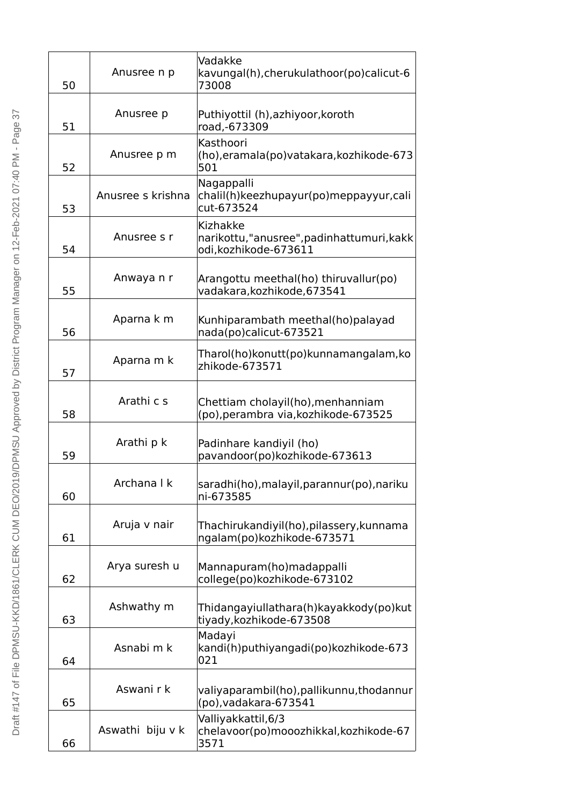| 50 | Anusree n p       | Vadakke<br>kavungal(h), cherukulathoor (po) calicut-6<br>73008               |
|----|-------------------|------------------------------------------------------------------------------|
| 51 | Anusree p         | Puthiyottil (h), azhiyoor, koroth<br>road,-673309                            |
| 52 | Anusree p m       | Kasthoori<br>(ho), eramala (po) vatakara, kozhiko de-673<br>501              |
| 53 | Anusree s krishna | Nagappalli<br>chalil(h)keezhupayur(po)meppayyur,cali<br>cut-673524           |
| 54 | Anusree s r       | Kizhakke<br>narikottu,"anusree",padinhattumuri,kakk<br>odi, kozhikode-673611 |
| 55 | Anwaya n r        | Arangottu meethal(ho) thiruvallur(po)<br>vadakara, kozhikode, 673541         |
| 56 | Aparna k m        | Kunhiparambath meethal(ho)palayad<br>nada(po)calicut-673521                  |
| 57 | Aparna m k        | Tharol(ho) konutt(po) kunnamangalam, ko<br>zhikode-673571                    |
| 58 | Arathi c s        | Chettiam cholayil(ho), menhanniam<br>(po), perambra via, kozhikode-673525    |
| 59 | Arathi p k        | Padinhare kandiyil (ho)<br>pavandoor(po)kozhikode-673613                     |
| 60 | Archana   k       | saradhi(ho), malayil, parannur (po), nariku<br>ni-673585                     |
| 61 | Aruja v nair      | Thachirukandiyil(ho),pilassery,kunnama<br>ngalam(po)kozhikode-673571         |
| 62 | Arya suresh u     | Mannapuram(ho)madappalli<br>college(po)kozhikode-673102                      |
| 63 | Ashwathy m        | Thidangayiullathara(h) kayakkody(po) kut<br>tiyady, kozhikode-673508         |
| 64 | Asnabi m k        | Madayi<br>kandi(h)puthiyangadi(po)kozhikode-673<br>021                       |
| 65 | Aswani r k        | valiyaparambil(ho), pallikunnu, thodannur<br>(po), vadakara-673541           |
| 66 | Aswathi biju v k  | Valliyakkattil, 6/3<br>chelavoor(po)mooozhikkal, kozhikode-67<br>3571        |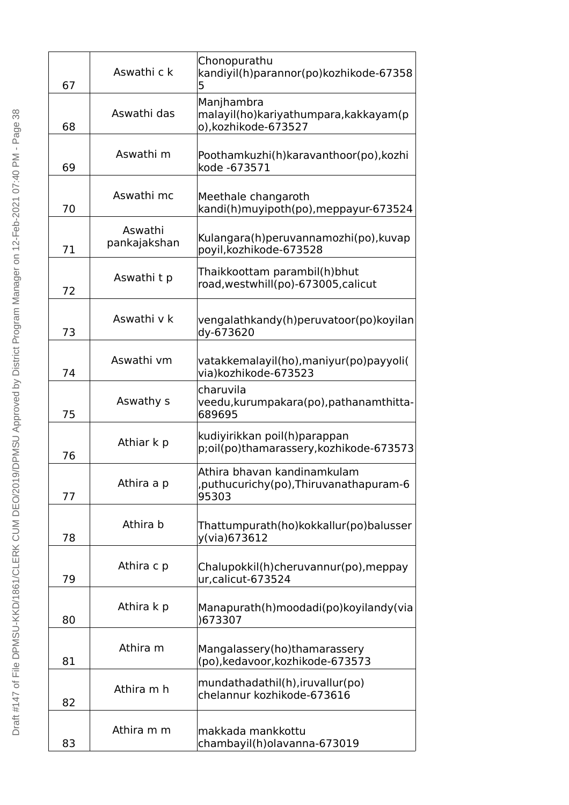| 67 | Aswathi c k             | Chonopurathu<br>kandiyil(h)parannor(po)kozhikode-67358<br>5                      |
|----|-------------------------|----------------------------------------------------------------------------------|
| 68 | Aswathi das             | Manjhambra<br>malayil(ho) kariyathumpara, kakkayam (p<br>o), kozhikode-673527    |
| 69 | Aswathi m               | Poothamkuzhi(h) karavanthoor(po), kozhi<br>kode -673571                          |
| 70 | Aswathi mc              | Meethale changaroth<br>kandi(h) muyipoth(po), meppayur-673524                    |
| 71 | Aswathi<br>pankajakshan | Kulangara(h)peruvannamozhi(po), kuvap<br>poyil, kozhikode-673528                 |
| 72 | Aswathi t p             | Thaikkoottam parambil(h)bhut<br>road, west whill (po)-673005, calicut            |
| 73 | Aswathi v k             | vengalathkandy(h)peruvatoor(po)koyilan<br>dy-673620                              |
| 74 | Aswathi vm              | vatakkemalayil(ho), maniyur(po) payyoli (<br>via) kozhikode-673523               |
| 75 | Aswathy s               | charuvila<br>veedu, kurumpakara (po), pathanamthitta-<br>689695                  |
| 76 | Athiar k p              | kudiyirikkan poil(h)parappan<br>p;oil(po)thamarassery, kozhikode-673573          |
| 77 | Athira a p              | Athira bhavan kandinamkulam<br>, puthucurichy (po), Thiruvanathapuram-6<br>95303 |
| 78 | Athira b                | Thattumpurath(ho)kokkallur(po)balusser<br>y(via)673612                           |
| 79 | Athira c p              | Chalupokkil(h)cheruvannur(po), meppay<br>ur, calicut-673524                      |
| 80 | Athira k p              | Manapurath(h)moodadi(po)koyilandy(via<br>)673307                                 |
| 81 | Athira m                | Mangalassery(ho)thamarassery<br>(po), kedavoor, kozhikode-673573                 |
| 82 | Athira m h              | mundathadathil(h), iruvallur(po)<br>chelannur kozhikode-673616                   |
| 83 | Athira m m              | makkada mankkottu<br>chambayil(h)olavanna-673019                                 |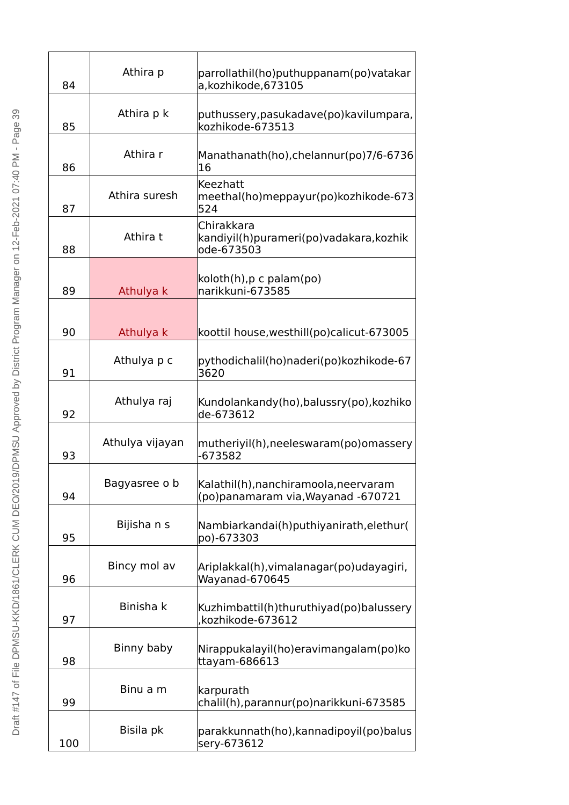| 84  | Athira p        | parrollathil(ho)puthuppanam(po)vatakar<br>a,kozhikode,673105                |
|-----|-----------------|-----------------------------------------------------------------------------|
| 85  | Athira p k      | puthussery, pasukadave(po) kavilumpara,<br>kozhikode-673513                 |
| 86  | Athira r        | Manathanath(ho), chelannur(po) 7/6-6736<br>16                               |
| 87  | Athira suresh   | Keezhatt<br>meethal(ho)meppayur(po)kozhikode-673<br>524                     |
| 88  | Athira t        | Chirakkara<br>kandiyil(h)purameri(po)vadakara, kozhik<br>ode-673503         |
| 89  | Athulya k       | koloth(h), p c palam(po)<br>narikkuni-673585                                |
| 90  | Athulya k       | koottil house, westhill(po) calicut-673005                                  |
| 91  | Athulya p c     | pythodichalil(ho)naderi(po)kozhikode-67<br>3620                             |
| 92  | Athulya raj     | Kundolankandy(ho), balussry(po), kozhiko<br>de-673612                       |
| 93  | Athulya vijayan | mutheriyil(h), neeleswaram(po) omassery<br>-673582                          |
| 94  | Bagyasree o b   | Kalathil(h), nanchiramoola, neervaram<br>(po)panamaram via, Wayanad -670721 |
| 95  | Bijisha n s     | Nambiarkandai(h)puthiyanirath, elethur(<br>po)-673303                       |
| 96  | Bincy mol av    | Ariplakkal(h), vimalanagar (po) udayagiri,<br>Wayanad-670645                |
| 97  | Binisha k       | Kuzhimbattil(h)thuruthiyad(po)balussery<br>,kozhikode-673612                |
| 98  | Binny baby      | Nirappukalayil(ho)eravimangalam(po)ko<br>ttayam-686613                      |
| 99  | Binu a m        | karpurath<br>chalil(h), parannur (po) narikkuni-673585                      |
| 100 | Bisila pk       | parakkunnath(ho), kannadipoyil(po) balus<br>sery-673612                     |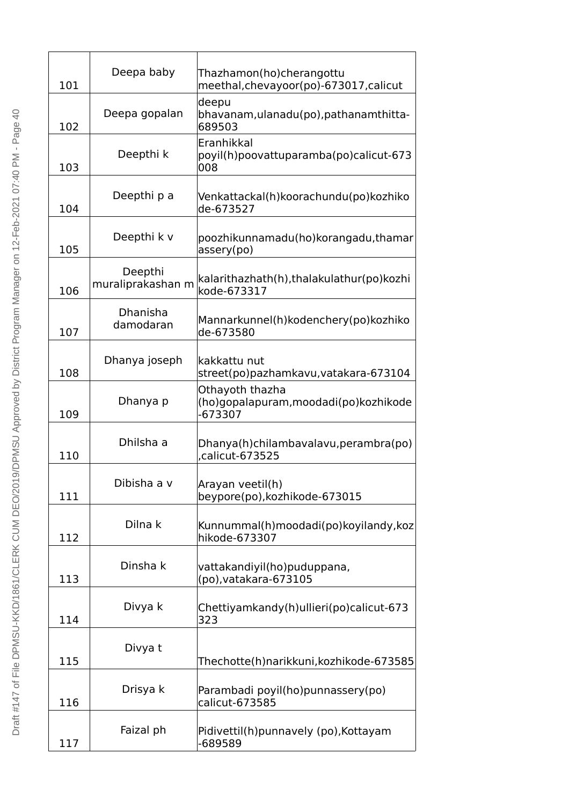| 101 | Deepa baby                   | Thazhamon(ho)cherangottu<br>meethal, chevayoor(po)-673017, calicut    |
|-----|------------------------------|-----------------------------------------------------------------------|
| 102 | Deepa gopalan                | deepu<br>bhavanam,ulanadu(po),pathanamthitta-<br>689503               |
| 103 | Deepthi k                    | Eranhikkal<br>poyil(h)poovattuparamba(po)calicut-673<br>008           |
| 104 | Deepthi p a                  | Venkattackal(h) koorachundu (po) kozhiko<br>de-673527                 |
| 105 | Deepthi k v                  | poozhikunnamadu(ho)korangadu,thamar<br>assery(po)                     |
| 106 | Deepthi<br>muraliprakashan m | kalarithazhath(h), thalakulathur (po) kozhi<br>kode-673317            |
| 107 | Dhanisha<br>damodaran        | Mannarkunnel(h)kodenchery(po)kozhiko<br>de-673580                     |
| 108 | Dhanya joseph                | kakkattu nut<br>street(po)pazhamkavu, vatakara-673104                 |
| 109 | Dhanya p                     | Othayoth thazha<br>(ho)gopalapuram, moodadi (po) kozhikode<br>-673307 |
| 110 | Dhilsha a                    | Dhanya(h)chilambavalavu, perambra(po)<br>.calicut-673525              |
| 111 | Dibisha a v                  | Arayan veetil(h)<br>beypore(po), kozhikode-673015                     |
| 112 | Dilna k                      | Kunnummal(h)moodadi(po)koyilandy,koz<br>hikode-673307                 |
| 113 | Dinsha k                     | vattakandiyil(ho)puduppana,<br>(po), vatakara-673105                  |
| 114 | Divya k                      | Chettiyamkandy(h)ullieri(po)calicut-673<br>323                        |
| 115 | Divya t                      | Thechotte(h)narikkuni, kozhikode-673585                               |
| 116 | Drisya k                     | Parambadi poyil(ho)punnassery(po)<br>calicut-673585                   |
| 117 | Faizal ph                    | Pidivettil(h)punnavely (po), Kottayam<br>-689589                      |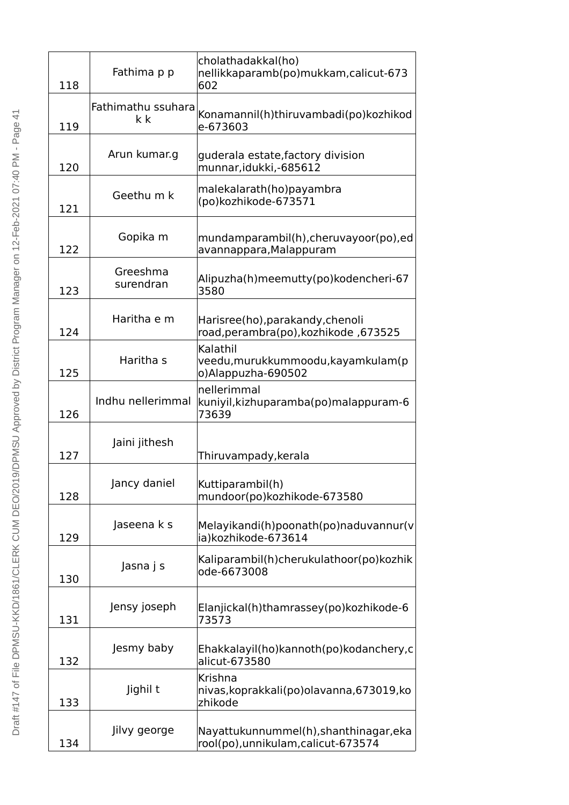| 118 | Fathima p p               | cholathadakkal(ho)<br>nellikkaparamb(po) mukkam, calicut-673<br>602           |
|-----|---------------------------|-------------------------------------------------------------------------------|
| 119 | Fathimathu ssuhara<br>k k | Konamannil(h)thiruvambadi(po) kozhikod<br>e-673603                            |
| 120 | Arun kumar.g              | guderala estate, factory division<br>munnar, idukki, - 685612                 |
| 121 | Geethu m k                | malekalarath(ho)payambra<br>(po)kozhikode-673571                              |
| 122 | Gopika m                  | mundamparambil(h), cheruvayoor(po), ed<br>avannappara, Malappuram             |
| 123 | Greeshma<br>surendran     | Alipuzha(h)meemutty(po)kodencheri-67<br>3580                                  |
| 124 | Haritha e m               | Harisree(ho), parakandy, chenoli<br>road, perambra(po), kozhikode, 673525     |
| 125 | Haritha s                 | Kalathil<br>veedu, murukkummoodu, kayamkulam (p<br>o) Alappuzha-690502        |
| 126 | Indhu nellerimmal         | nellerimmal<br>kuniyil, kizhuparamba (po) malappuram-6<br>73639               |
| 127 | Jaini jithesh             | Thiruvampady, kerala                                                          |
| 128 | Jancy daniel              | Kuttiparambil(h)<br>mundoor(po)kozhikode-673580                               |
| 129 | Jaseena k s               | Melayikandi(h)poonath(po)naduvannur(v<br>ia)kozhikode-673614                  |
| 130 | Jasna j s                 | Kaliparambil(h)cherukulathoor(po) kozhik<br>ode-6673008                       |
| 131 | Jensy joseph              | Elanjickal(h)thamrassey(po)kozhikode-6<br>73573                               |
| 132 | Jesmy baby                | Ehakkalayil(ho)kannoth(po)kodanchery,c<br>alicut-673580                       |
| 133 | Jighil t                  | Krishna<br>nivas, koprakkali (po) olavanna, 673019, ko<br>zhikode             |
| 134 | Jilvy george              | Nayattukunnummel(h), shanthinagar, eka<br>rool(po), unnikulam, calicut-673574 |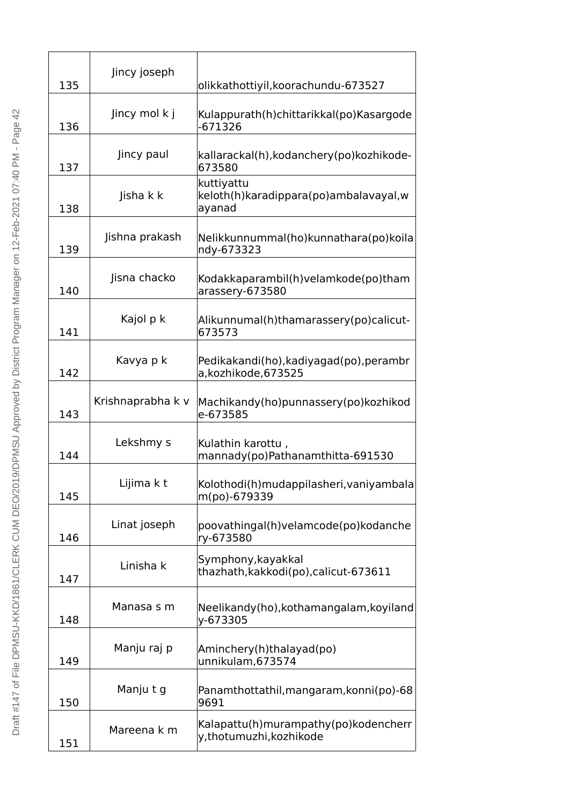| 135 | Jincy joseph      | olikkathottiyil, koorachundu-673527                              |
|-----|-------------------|------------------------------------------------------------------|
| 136 | Jincy mol k j     | Kulappurath(h)chittarikkal(po) Kasargode<br>-671326              |
| 137 | Jincy paul        | kallarackal(h), kodanchery (po) kozhikode-<br>673580             |
| 138 | Jisha k k         | kuttiyattu<br>keloth(h) karadippara(po) ambalavayal, w<br>ayanad |
| 139 | Jishna prakash    | Nelikkunnummal(ho)kunnathara(po)koila<br>ndy-673323              |
| 140 | Jisna chacko      | Kodakkaparambil(h) velamkode(po) tham<br>arassery-673580         |
| 141 | Kajol p k         | Alikunnumal(h)thamarassery(po)calicut-<br>673573                 |
| 142 | Kavya p k         | Pedikakandi(ho), kadiyagad(po), perambr<br>a,kozhikode,673525    |
| 143 | Krishnaprabha k v | Machikandy(ho)punnassery(po)kozhikod<br>e-673585                 |
| 144 | Lekshmy s         | Kulathin karottu,<br>mannady(po)Pathanamthitta-691530            |
| 145 | Lijima k t        | Kolothodi(h)mudappilasheri, vaniyambala<br>m(po)-679339          |
| 146 | Linat joseph      | poovathingal(h)velamcode(po)kodanche<br>ry-673580                |
| 147 | Linisha k         | Symphony, kayakkal<br>thazhath, kakkodi(po), calicut-673611      |
| 148 | Manasa s m        | Neelikandy(ho), kothamangalam, koyiland<br>y-673305              |
| 149 | Manju raj p       | Aminchery(h)thalayad(po)<br>unnikulam, 673574                    |
| 150 | Manju t g         | Panamthottathil, mangaram, konni(po)-68<br>9691                  |
| 151 | Mareena k m       | Kalapattu(h)murampathy(po)kodencherr<br>y,thotumuzhi, kozhikode  |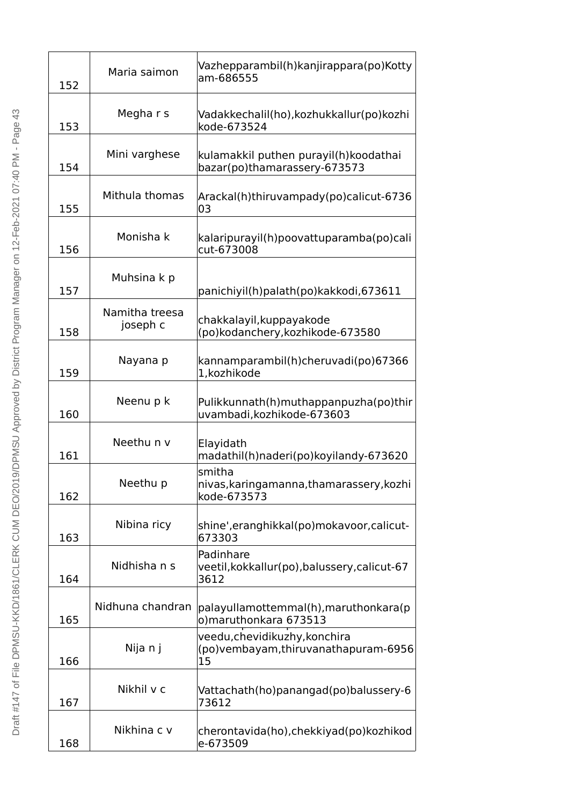| 152 | Maria saimon               | Vazhepparambil(h) kanjirappara(po) Kotty<br>am-686555                        |
|-----|----------------------------|------------------------------------------------------------------------------|
| 153 | Megha r s                  | Vadakkechalil(ho), kozhukkallur (po) kozhi<br>kode-673524                    |
| 154 | Mini varghese              | kulamakkil puthen purayil(h)koodathai<br>bazar(po)thamarassery-673573        |
| 155 | Mithula thomas             | Arackal(h)thiruvampady(po)calicut-6736<br>03                                 |
| 156 | Monisha k                  | kalaripurayil(h)poovattuparamba(po)cali<br>cut-673008                        |
| 157 | Muhsina k p                | panichiyil(h)palath(po)kakkodi, 673611                                       |
| 158 | Namitha treesa<br>joseph c | chakkalayil, kuppayakode<br>(po)kodanchery, kozhikode-673580                 |
| 159 | Nayana p                   | kannamparambil(h)cheruvadi(po)67366<br>1, kozhikode                          |
| 160 | Neenu p k                  | Pulikkunnath(h)muthappanpuzha(po)thir<br>uvambadi, kozhikode-673603          |
| 161 | Neethu n v                 | Elayidath<br>madathil(h)naderi(po)koyilandy-673620                           |
| 162 | Neethu p                   | smitha<br>nivas, karingamanna, thamarassery, kozhi<br>kode-673573            |
| 163 | Nibina ricy                | shine', eranghikkal(po) mokavoor, calicut-<br>673303                         |
| 164 | Nidhisha n s               | Padinhare<br>veetil, kokkallur(po), balussery, calicut-67<br>3612            |
| 165 | Nidhuna chandran           | palayullamottemmal(h), maruthonkara (p<br>o)maruthonkara 673513              |
| 166 | Nija n j                   | veedu, chevidikuzhy, konchira<br>(po) vembayam, thiruvanathapuram-6956<br>15 |
| 167 | Nikhil v c                 | Vattachath(ho)panangad(po)balussery-6<br>73612                               |
| 168 | Nikhina c v                | cherontavida(ho), chekkiyad(po) kozhikod<br>e-673509                         |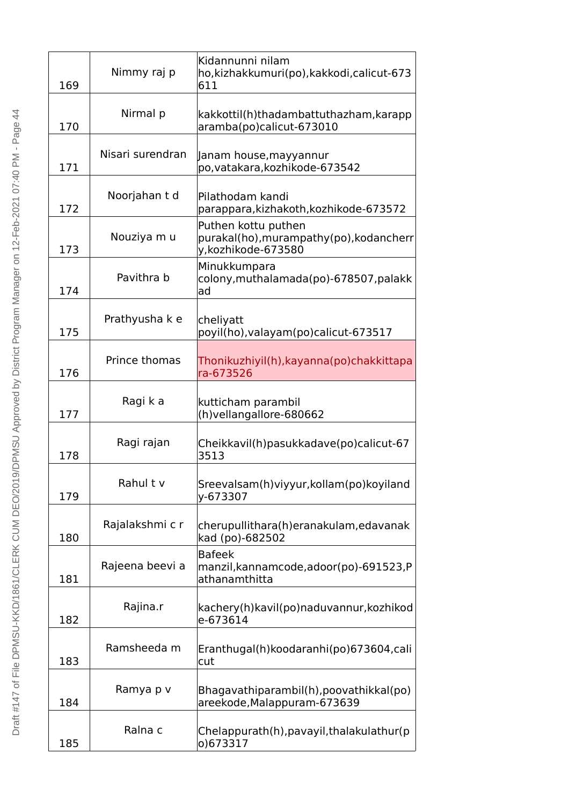| 169 | Nimmy raj p      | Kidannunni nilam<br>ho, kizhakkumuri(po), kakkodi, calicut-673<br>611                |
|-----|------------------|--------------------------------------------------------------------------------------|
| 170 | Nirmal p         | kakkottil(h)thadambattuthazham, karapp<br>aramba(po)calicut-673010                   |
| 171 | Nisari surendran | Janam house, mayyannur<br>po, vatakara, kozhikode-673542                             |
| 172 | Noorjahan t d    | Pilathodam kandi<br>parappara, kizhakoth, kozhikode-673572                           |
| 173 | Nouziya m u      | Puthen kottu puthen<br>purakal(ho), murampathy(po), kodancherr<br>y,kozhikode-673580 |
| 174 | Pavithra b       | Minukkumpara<br>colony, muthalamada(po)-678507, palakk<br>ad                         |
| 175 | Prathyusha k e   | cheliyatt<br>poyil(ho), valayam(po) calicut-673517                                   |
| 176 | Prince thomas    | Thonikuzhiyil(h), kayanna (po) chakkittapa<br>ra-673526                              |
| 177 | Ragi k a         | kutticham parambil<br>(h) vellangallore-680662                                       |
| 178 | Ragi rajan       | Cheikkavil(h)pasukkadave(po)calicut-67<br>3513                                       |
| 179 | Rahultv          | Sreevalsam(h)viyyur, kollam(po) koyiland<br>y-673307                                 |
| 180 | Rajalakshmi c r  | cherupullithara(h)eranakulam, edavanak<br>kad (po)-682502                            |
| 181 | Rajeena beevi a  | <b>Bafeek</b><br>manzil, kannamcode, adoor(po)-691523, P<br>athanamthitta            |
| 182 | Rajina.r         | kachery(h)kavil(po)naduvannur, kozhikod<br>e-673614                                  |
| 183 | Ramsheeda m      | Eranthugal(h) koodaranhi (po) 673604, cali<br>cut                                    |
| 184 | Ramya p v        | Bhagavathiparambil(h), poovathikkal(po)<br>areekode, Malappuram-673639               |
| 185 | Ralna c          | Chelappurath(h), pavayil, thalakulathur (p<br>o)673317                               |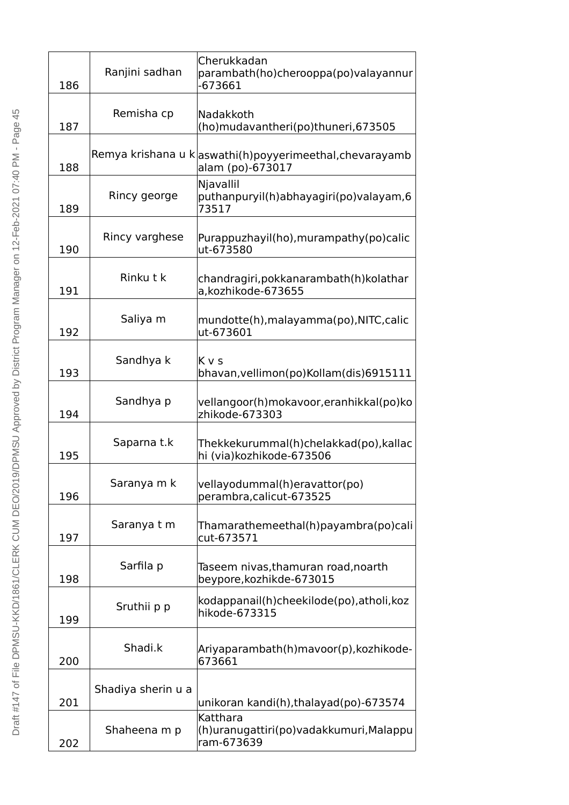| 186 | Ranjini sadhan     | Cherukkadan<br>parambath(ho)cherooppa(po)valayannur<br>-673661              |
|-----|--------------------|-----------------------------------------------------------------------------|
| 187 | Remisha cp         | Nadakkoth<br>(ho)mudavantheri(po)thuneri, 673505                            |
| 188 |                    | Remya krishana u kaswathi(h)poyyerimeethal, chevarayamb<br>alam (po)-673017 |
| 189 | Rincy george       | Njavallil<br>puthanpuryil(h)abhayagiri(po) valayam, 6<br>73517              |
| 190 | Rincy varghese     | Purappuzhayil(ho), murampathy(po) calic<br>ut-673580                        |
| 191 | Rinku t k          | chandragiri, pokkanarambath (h) kolathar<br>a,kozhikode-673655              |
| 192 | Saliya m           | mundotte(h),malayamma(po),NITC,calic<br>ut-673601                           |
| 193 | Sandhya k          | K v s<br>bhavan, vellimon(po) Kollam (dis) 6915111                          |
| 194 | Sandhya p          | vellangoor(h)mokavoor, eranhikkal(po)ko<br>zhikode-673303                   |
| 195 | Saparna t.k        | Thekkekurummal(h)chelakkad(po), kallac<br>hi (via)kozhikode-673506          |
| 196 | Saranya m k        | vellayodummal(h)eravattor(po)<br>perambra, calicut-673525                   |
| 197 | Saranya t m        | Thamarathemeethal(h)payambra(po)cali<br>cut-673571                          |
| 198 | Sarfila p          | Taseem nivas,thamuran road,noarth<br>beypore, kozhik de-673015              |
| 199 | Sruthii p p        | kodappanail(h)cheekilode(po), atholi, koz<br>hikode-673315                  |
| 200 | Shadi.k            | Ariyaparambath(h)mavoor(p), kozhikode-<br>673661                            |
| 201 | Shadiya sherin u a | unikoran kandi(h),thalayad(po)-673574                                       |
| 202 | Shaheena m p       | Katthara<br>(h)uranugattiri(po) vadakkumuri, Malappu<br>ram-673639          |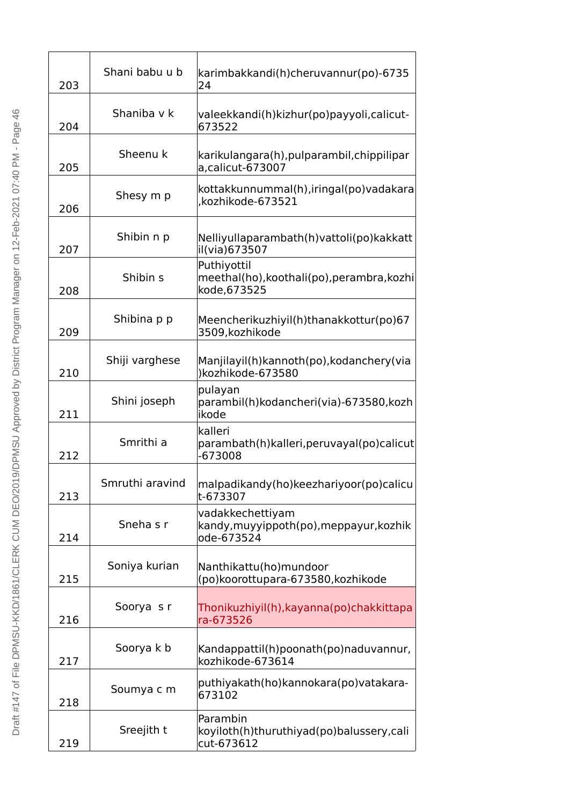| 203 | Shani babu u b  | karimbakkandi(h)cheruvannur(po)-6735<br>24                                |
|-----|-----------------|---------------------------------------------------------------------------|
| 204 | Shaniba v k     | valeekkandi(h) kizhur (po) payyoli, calicut-<br>673522                    |
| 205 | Sheenu k        | karikulangara(h), pulparambil, chippilipar<br>a, calicut-673007           |
| 206 | Shesy m p       | kottakkunnummal(h), iringal(po) vadakara<br>,kozhikode-673521             |
| 207 | Shibin n p      | Nelliyullaparambath(h) vattoli(po) kakkatt<br>il(via)673507               |
| 208 | Shibin s        | Puthiyottil<br>meethal(ho), koothali(po), perambra, kozhi<br>kode, 673525 |
| 209 | Shibina p p     | Meencherikuzhiyil(h)thanakkottur(po)67<br>3509, kozhikode                 |
| 210 | Shiji varghese  | Manjilayil(h)kannoth(po), kodanchery (via<br>)kozhikode-673580            |
| 211 | Shini joseph    | pulayan<br>parambil(h) kodancheri (via) - 673580, kozh<br>ikode           |
| 212 | Smrithi a       | kalleri<br>parambath(h) kalleri, peruvayal (po) calicut<br>$-673008$      |
| 213 | Smruthi aravind | malpadikandy(ho)keezhariyoor(po)calicu<br>t-673307                        |
| 214 | Sneha s r       | vadakkechettiyam<br>kandy, muyyippoth(po), meppayur, kozhik<br>ode-673524 |
| 215 | Soniya kurian   | Nanthikattu(ho)mundoor<br>(po) koorottupara-673580, kozhikode             |
| 216 | Soorya sr       | Thonikuzhiyil(h), kayanna (po) chakkittapa<br>ra-673526                   |
| 217 | Soorya k b      | Kandappattil(h)poonath(po)naduvannur,<br>kozhikode-673614                 |
| 218 | Soumya c m      | puthiyakath(ho)kannokara(po)vatakara-<br>673102                           |
| 219 | Sreejith t      | Parambin<br>koyiloth(h)thuruthiyad(po)balussery,cali<br>cut-673612        |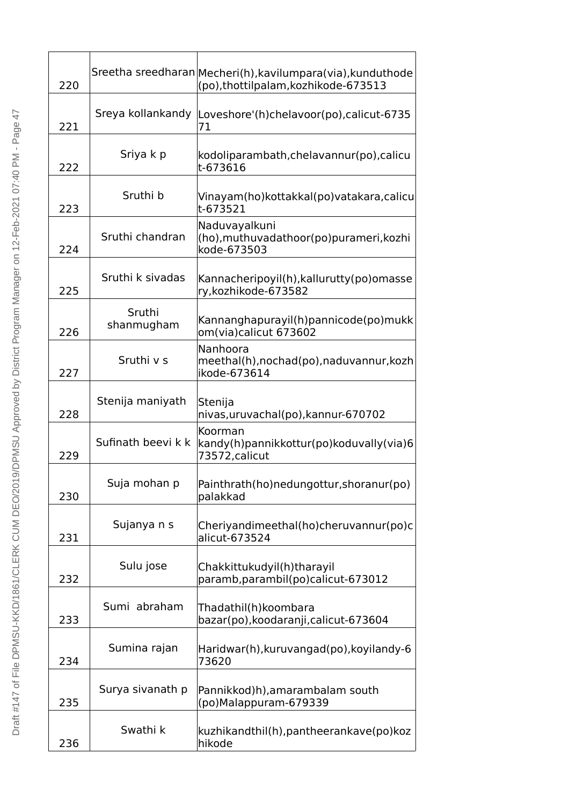| 220 |                      | Sreetha sreedharan Mecheri(h), kavilumpara (via), kunduthode<br>(po), thot tilpalam, kozhiko de-673513 |
|-----|----------------------|--------------------------------------------------------------------------------------------------------|
| 221 | Sreya kollankandy    | Loveshore'(h)chelavoor(po),calicut-6735<br>71                                                          |
| 222 | Sriya k p            | kodoliparambath, chelavannur (po), calicu<br>t-673616                                                  |
| 223 | Sruthi b             | Vinayam(ho) kottakkal (po) vatakara, calicu<br>t-673521                                                |
| 224 | Sruthi chandran      | Naduvayalkuni<br>(ho), muthuvadathoor (po) purameri, kozhi<br>kode-673503                              |
| 225 | Sruthi k sivadas     | Kannacheripoyil(h), kallurutty (po) omasse<br>ry, kozhikode-673582                                     |
| 226 | Sruthi<br>shanmugham | Kannanghapurayil(h)pannicode(po)mukk<br>om(via)calicut 673602                                          |
| 227 | Sruthi v s           | Nanhoora<br>meethal(h), nochad(po), naduvannur, kozh<br>ikode-673614                                   |
| 228 | Stenija maniyath     | Stenija<br>nivas, uruvachal (po), kannur-670702                                                        |
| 229 | Sufinath beevi k k   | Koorman<br>kandy(h)pannikkottur(po)koduvally(via)6<br>73572, calicut                                   |
| 230 | Suja mohan p         | Painthrath(ho)nedungottur, shoranur(po)<br>palakkad                                                    |
| 231 | Sujanya n s          | Cheriyandimeethal(ho)cheruvannur(po)c<br>alicut-673524                                                 |
| 232 | Sulu jose            | Chakkittukudyil(h)tharayil<br>paramb, parambil (po) calicut-673012                                     |
| 233 | Sumi abraham         | Thadathil(h)koombara<br>bazar(po), koodaranji, calicut-673604                                          |
| 234 | Sumina rajan         | Haridwar(h), kuruvangad(po), koyilandy-6<br>73620                                                      |
| 235 | Surya sivanath p     | Pannikkod)h), amarambalam south<br>(po)Malappuram-679339                                               |
| 236 | Swathi k             | kuzhikandthil(h), pantheerankave (po) koz<br>hikode                                                    |